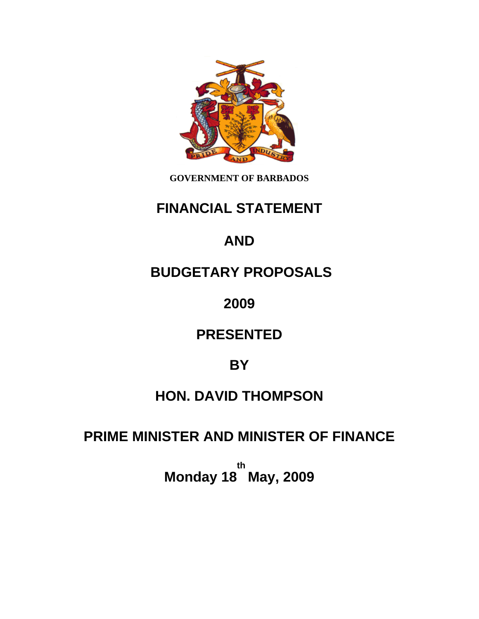

**GOVERNMENT OF BARBADOS** 

## **FINANCIAL STATEMENT**

# **AND**

## **BUDGETARY PROPOSALS**

**2009** 

## **PRESENTED**

## **BY**

## **HON. DAVID THOMPSON**

## **PRIME MINISTER AND MINISTER OF FINANCE**

**Monday 18 May, 2009th**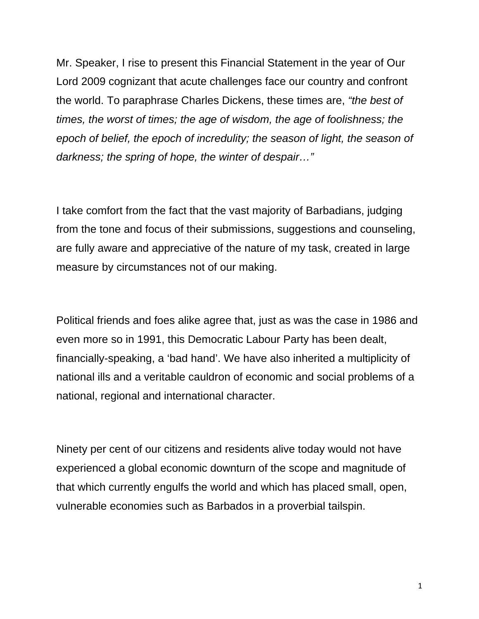Mr. Speaker, I rise to present this Financial Statement in the year of Our Lord 2009 cognizant that acute challenges face our country and confront the world. To paraphrase Charles Dickens, these times are, *"the best of times, the worst of times; the age of wisdom, the age of foolishness; the epoch of belief, the epoch of incredulity; the season of light, the season of*  darkness; the spring of hope, the winter of despair..."

I take comfort from the fact that the vast majority of Barbadians, judging from the tone and focus of their submissions, suggestions and counseling, are fully aware and appreciative of the nature of my task, created in large measure by circumstances not of our making.

Political friends and foes alike agree that, just as was the case in 1986 and even more so in 1991, this Democratic Labour Party has been dealt, financially-speaking, a 'bad hand'. We have also inherited a multiplicity of national ills and a veritable cauldron of economic and social problems of a national, regional and international character.

Ninety per cent of our citizens and residents alive today would not have experienced a global economic downturn of the scope and magnitude of that which currently engulfs the world and which has placed small, open, vulnerable economies such as Barbados in a proverbial tailspin.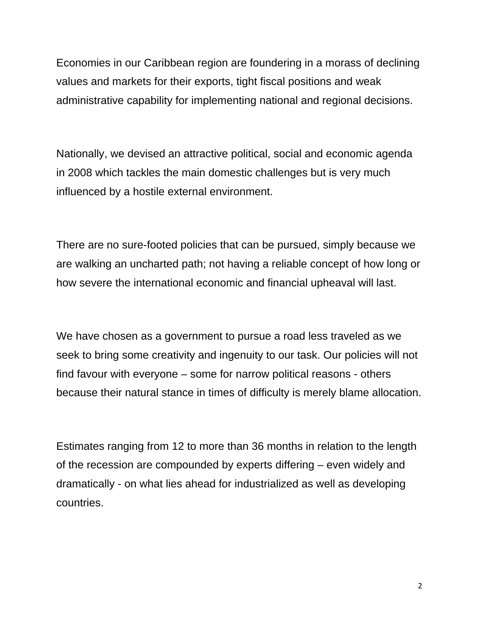Economies in our Caribbean region are foundering in a morass of declining values and markets for their exports, tight fiscal positions and weak administrative capability for implementing national and regional decisions.

Nationally, we devised an attractive political, social and economic agenda in 2008 which tackles the main domestic challenges but is very much influenced by a hostile external environment.

There are no sure-footed policies that can be pursued, simply because we are walking an uncharted path; not having a reliable concept of how long or how severe the international economic and financial upheaval will last.

We have chosen as a government to pursue a road less traveled as we seek to bring some creativity and ingenuity to our task. Our policies will not find favour with everyone – some for narrow political reasons - others because their natural stance in times of difficulty is merely blame allocation.

Estimates ranging from 12 to more than 36 months in relation to the length of the recession are compounded by experts differing – even widely and dramatically - on what lies ahead for industrialized as well as developing countries.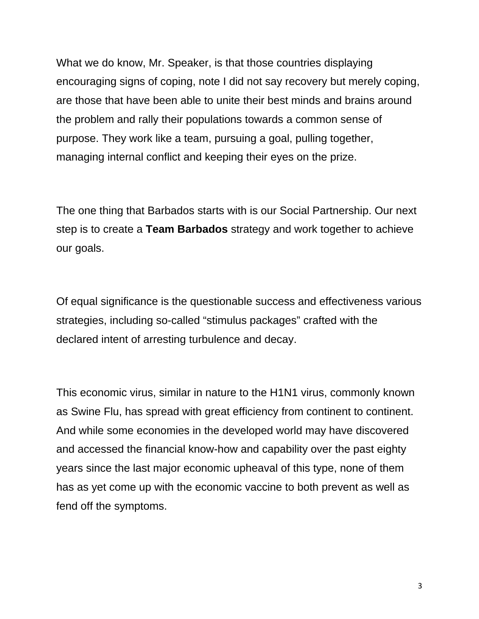What we do know, Mr. Speaker, is that those countries displaying encouraging signs of coping, note I did not say recovery but merely coping, are those that have been able to unite their best minds and brains around the problem and rally their populations towards a common sense of purpose. They work like a team, pursuing a goal, pulling together, managing internal conflict and keeping their eyes on the prize.

The one thing that Barbados starts with is our Social Partnership. Our next step is to create a **Team Barbados** strategy and work together to achieve our goals.

Of equal significance is the questionable success and effectiveness various strategies, including so-called "stimulus packages" crafted with the declared intent of arresting turbulence and decay.

This economic virus, similar in nature to the H1N1 virus, commonly known as Swine Flu, has spread with great efficiency from continent to continent. And while some economies in the developed world may have discovered and accessed the financial know-how and capability over the past eighty years since the last major economic upheaval of this type, none of them has as yet come up with the economic vaccine to both prevent as well as fend off the symptoms.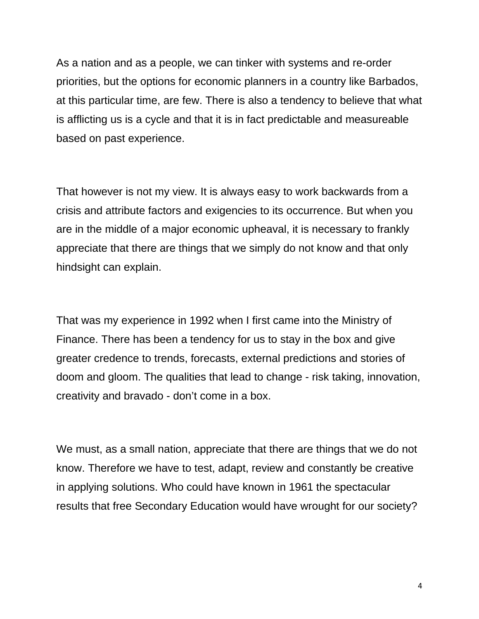As a nation and as a people, we can tinker with systems and re-order priorities, but the options for economic planners in a country like Barbados, at this particular time, are few. There is also a tendency to believe that what is afflicting us is a cycle and that it is in fact predictable and measureable based on past experience.

That however is not my view. It is always easy to work backwards from a crisis and attribute factors and exigencies to its occurrence. But when you are in the middle of a major economic upheaval, it is necessary to frankly appreciate that there are things that we simply do not know and that only hindsight can explain.

That was my experience in 1992 when I first came into the Ministry of Finance. There has been a tendency for us to stay in the box and give greater credence to trends, forecasts, external predictions and stories of doom and gloom. The qualities that lead to change - risk taking, innovation, creativity and bravado - don't come in a box.

We must, as a small nation, appreciate that there are things that we do not know. Therefore we have to test, adapt, review and constantly be creative in applying solutions. Who could have known in 1961 the spectacular results that free Secondary Education would have wrought for our society?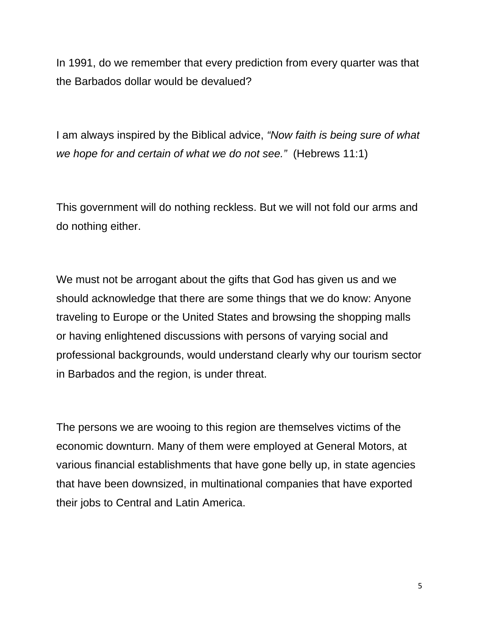In 1991, do we remember that every prediction from every quarter was that the Barbados dollar would be devalued?

I am always inspired by the Biblical advice, *"Now faith is being sure of what we hope for and certain of what we do not see."* (Hebrews 11:1)

This government will do nothing reckless. But we will not fold our arms and do nothing either.

We must not be arrogant about the gifts that God has given us and we should acknowledge that there are some things that we do know: Anyone traveling to Europe or the United States and browsing the shopping malls or having enlightened discussions with persons of varying social and professional backgrounds, would understand clearly why our tourism sector in Barbados and the region, is under threat.

The persons we are wooing to this region are themselves victims of the economic downturn. Many of them were employed at General Motors, at various financial establishments that have gone belly up, in state agencies that have been downsized, in multinational companies that have exported their jobs to Central and Latin America.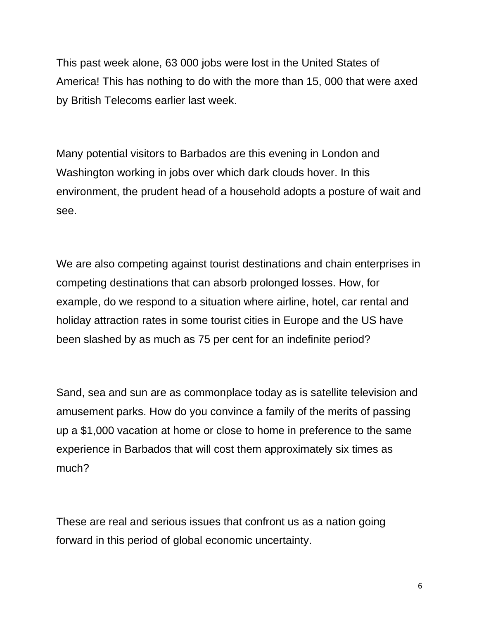This past week alone, 63 000 jobs were lost in the United States of America! This has nothing to do with the more than 15, 000 that were axed by British Telecoms earlier last week.

Many potential visitors to Barbados are this evening in London and Washington working in jobs over which dark clouds hover. In this environment, the prudent head of a household adopts a posture of wait and see.

We are also competing against tourist destinations and chain enterprises in competing destinations that can absorb prolonged losses. How, for example, do we respond to a situation where airline, hotel, car rental and holiday attraction rates in some tourist cities in Europe and the US have been slashed by as much as 75 per cent for an indefinite period?

Sand, sea and sun are as commonplace today as is satellite television and amusement parks. How do you convince a family of the merits of passing up a \$1,000 vacation at home or close to home in preference to the same experience in Barbados that will cost them approximately six times as much?

These are real and serious issues that confront us as a nation going forward in this period of global economic uncertainty.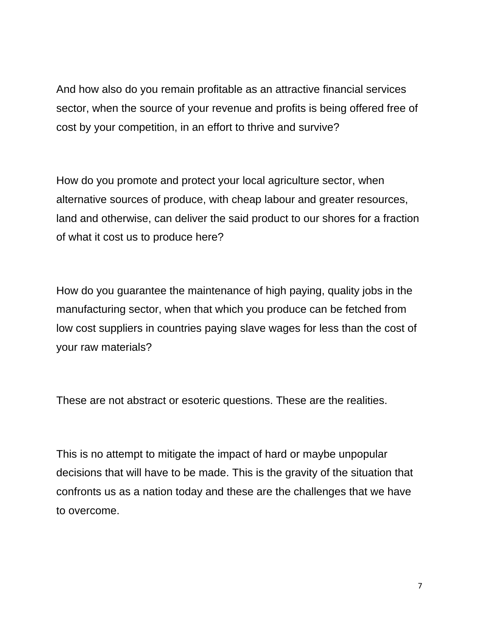And how also do you remain profitable as an attractive financial services sector, when the source of your revenue and profits is being offered free of cost by your competition, in an effort to thrive and survive?

How do you promote and protect your local agriculture sector, when alternative sources of produce, with cheap labour and greater resources, land and otherwise, can deliver the said product to our shores for a fraction of what it cost us to produce here?

How do you guarantee the maintenance of high paying, quality jobs in the manufacturing sector, when that which you produce can be fetched from low cost suppliers in countries paying slave wages for less than the cost of your raw materials?

These are not abstract or esoteric questions. These are the realities.

This is no attempt to mitigate the impact of hard or maybe unpopular decisions that will have to be made. This is the gravity of the situation that confronts us as a nation today and these are the challenges that we have to overcome.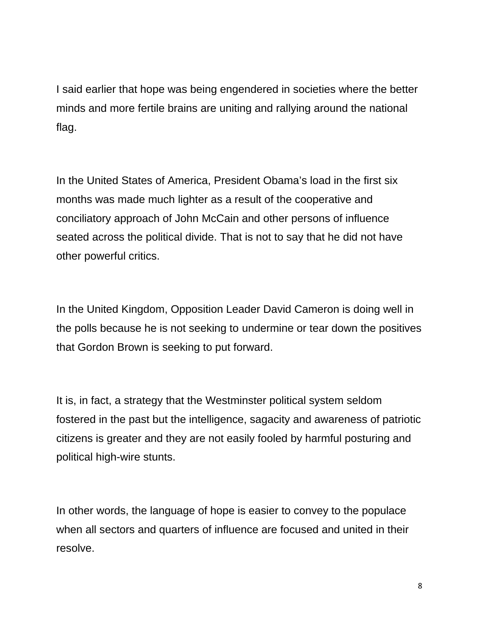I said earlier that hope was being engendered in societies where the better minds and more fertile brains are uniting and rallying around the national flag.

In the United States of America, President Obama's load in the first six months was made much lighter as a result of the cooperative and conciliatory approach of John McCain and other persons of influence seated across the political divide. That is not to say that he did not have other powerful critics.

In the United Kingdom, Opposition Leader David Cameron is doing well in the polls because he is not seeking to undermine or tear down the positives that Gordon Brown is seeking to put forward.

It is, in fact, a strategy that the Westminster political system seldom fostered in the past but the intelligence, sagacity and awareness of patriotic citizens is greater and they are not easily fooled by harmful posturing and political high-wire stunts.

In other words, the language of hope is easier to convey to the populace when all sectors and quarters of influence are focused and united in their resolve.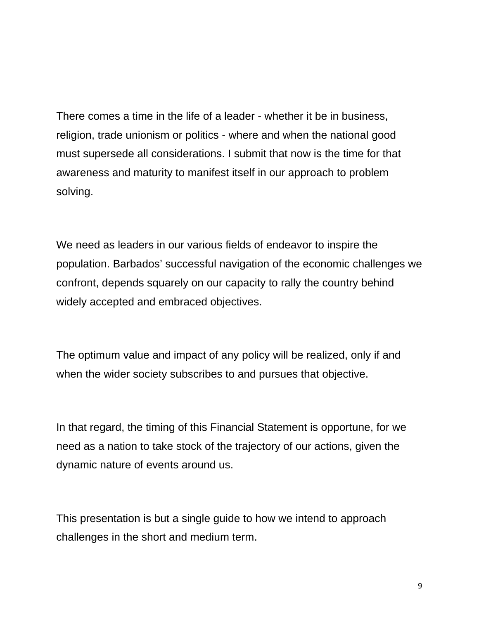There comes a time in the life of a leader - whether it be in business, religion, trade unionism or politics - where and when the national good must supersede all considerations. I submit that now is the time for that awareness and maturity to manifest itself in our approach to problem solving.

We need as leaders in our various fields of endeavor to inspire the population. Barbados' successful navigation of the economic challenges we confront, depends squarely on our capacity to rally the country behind widely accepted and embraced objectives.

The optimum value and impact of any policy will be realized, only if and when the wider society subscribes to and pursues that objective.

In that regard, the timing of this Financial Statement is opportune, for we need as a nation to take stock of the trajectory of our actions, given the dynamic nature of events around us.

This presentation is but a single guide to how we intend to approach challenges in the short and medium term.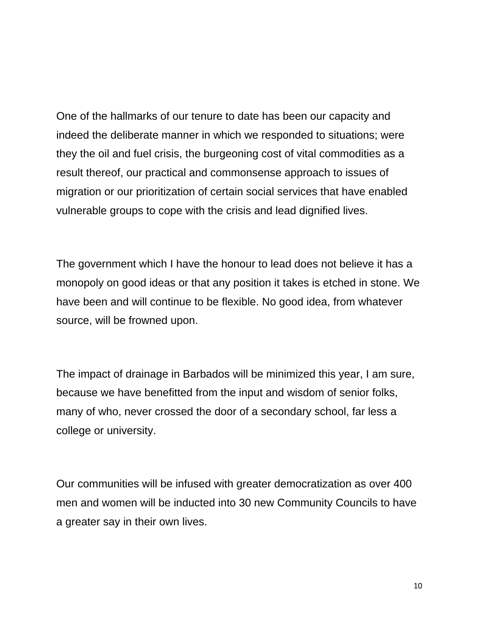One of the hallmarks of our tenure to date has been our capacity and indeed the deliberate manner in which we responded to situations; were they the oil and fuel crisis, the burgeoning cost of vital commodities as a result thereof, our practical and commonsense approach to issues of migration or our prioritization of certain social services that have enabled vulnerable groups to cope with the crisis and lead dignified lives.

The government which I have the honour to lead does not believe it has a monopoly on good ideas or that any position it takes is etched in stone. We have been and will continue to be flexible. No good idea, from whatever source, will be frowned upon.

The impact of drainage in Barbados will be minimized this year, I am sure, because we have benefitted from the input and wisdom of senior folks, many of who, never crossed the door of a secondary school, far less a college or university.

Our communities will be infused with greater democratization as over 400 men and women will be inducted into 30 new Community Councils to have a greater say in their own lives.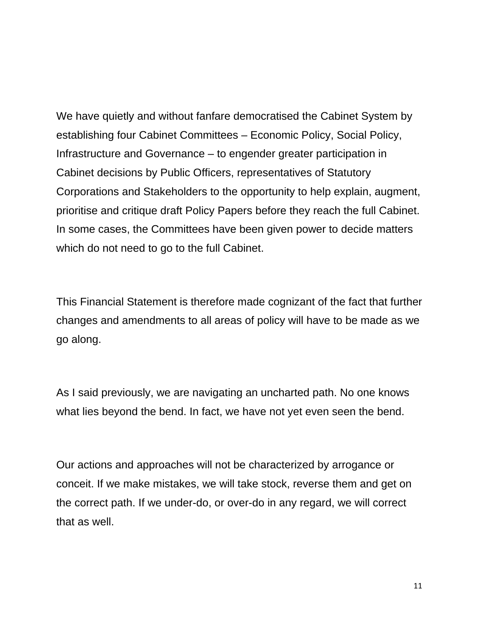We have quietly and without fanfare democratised the Cabinet System by establishing four Cabinet Committees – Economic Policy, Social Policy, Infrastructure and Governance – to engender greater participation in Cabinet decisions by Public Officers, representatives of Statutory Corporations and Stakeholders to the opportunity to help explain, augment, prioritise and critique draft Policy Papers before they reach the full Cabinet. In some cases, the Committees have been given power to decide matters which do not need to go to the full Cabinet.

This Financial Statement is therefore made cognizant of the fact that further changes and amendments to all areas of policy will have to be made as we go along.

As I said previously, we are navigating an uncharted path. No one knows what lies beyond the bend. In fact, we have not yet even seen the bend.

Our actions and approaches will not be characterized by arrogance or conceit. If we make mistakes, we will take stock, reverse them and get on the correct path. If we under-do, or over-do in any regard, we will correct that as well.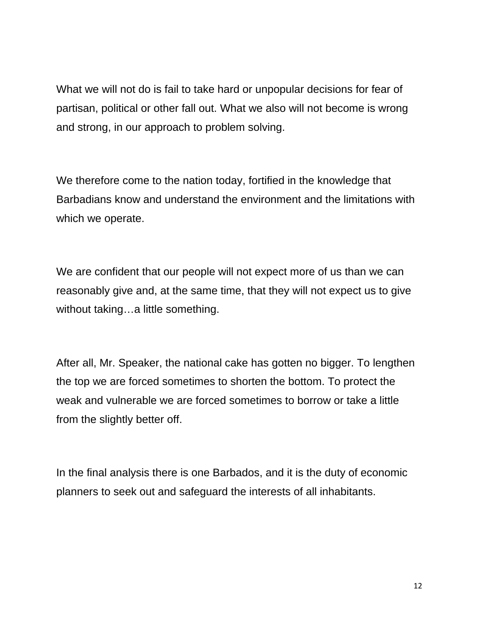What we will not do is fail to take hard or unpopular decisions for fear of partisan, political or other fall out. What we also will not become is wrong and strong, in our approach to problem solving.

We therefore come to the nation today, fortified in the knowledge that Barbadians know and understand the environment and the limitations with which we operate.

We are confident that our people will not expect more of us than we can reasonably give and, at the same time, that they will not expect us to give without taking…a little something.

After all, Mr. Speaker, the national cake has gotten no bigger. To lengthen the top we are forced sometimes to shorten the bottom. To protect the weak and vulnerable we are forced sometimes to borrow or take a little from the slightly better off.

In the final analysis there is one Barbados, and it is the duty of economic planners to seek out and safeguard the interests of all inhabitants.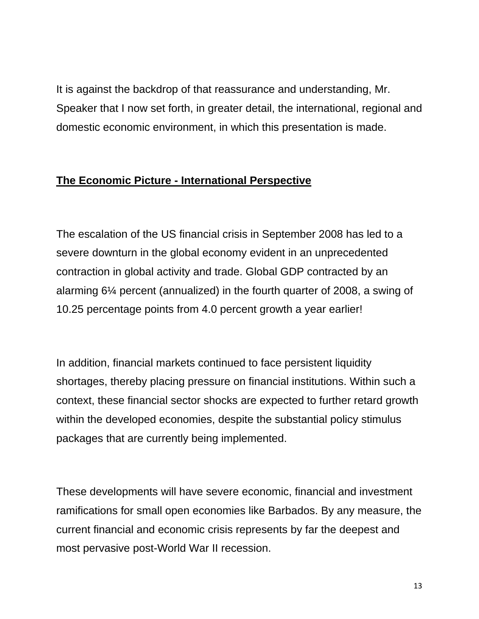It is against the backdrop of that reassurance and understanding, Mr. Speaker that I now set forth, in greater detail, the international, regional and domestic economic environment, in which this presentation is made.

### **The Economic Picture - International Perspective**

The escalation of the US financial crisis in September 2008 has led to a severe downturn in the global economy evident in an unprecedented contraction in global activity and trade. Global GDP contracted by an alarming 6¼ percent (annualized) in the fourth quarter of 2008, a swing of 10.25 percentage points from 4.0 percent growth a year earlier!

In addition, financial markets continued to face persistent liquidity shortages, thereby placing pressure on financial institutions. Within such a context, these financial sector shocks are expected to further retard growth within the developed economies, despite the substantial policy stimulus packages that are currently being implemented.

These developments will have severe economic, financial and investment ramifications for small open economies like Barbados. By any measure, the current financial and economic crisis represents by far the deepest and most pervasive post-World War II recession.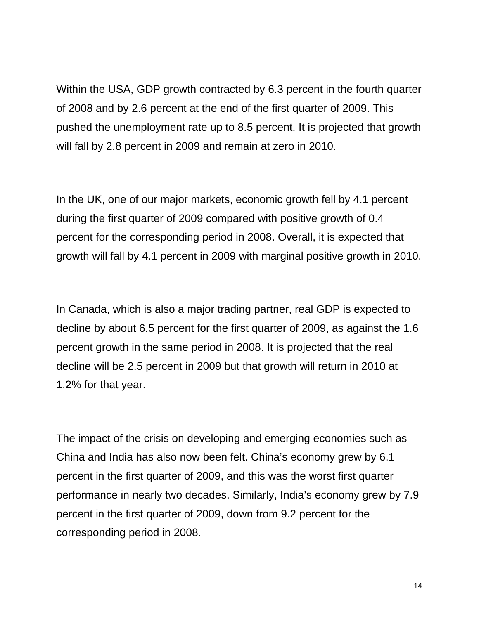Within the USA, GDP growth contracted by 6.3 percent in the fourth quarter of 2008 and by 2.6 percent at the end of the first quarter of 2009. This pushed the unemployment rate up to 8.5 percent. It is projected that growth will fall by 2.8 percent in 2009 and remain at zero in 2010.

In the UK, one of our major markets, economic growth fell by 4.1 percent during the first quarter of 2009 compared with positive growth of 0.4 percent for the corresponding period in 2008. Overall, it is expected that growth will fall by 4.1 percent in 2009 with marginal positive growth in 2010.

In Canada, which is also a major trading partner, real GDP is expected to decline by about 6.5 percent for the first quarter of 2009, as against the 1.6 percent growth in the same period in 2008. It is projected that the real decline will be 2.5 percent in 2009 but that growth will return in 2010 at 1.2% for that year.

The impact of the crisis on developing and emerging economies such as China and India has also now been felt. China's economy grew by 6.1 percent in the first quarter of 2009, and this was the worst first quarter performance in nearly two decades. Similarly, India's economy grew by 7.9 percent in the first quarter of 2009, down from 9.2 percent for the corresponding period in 2008.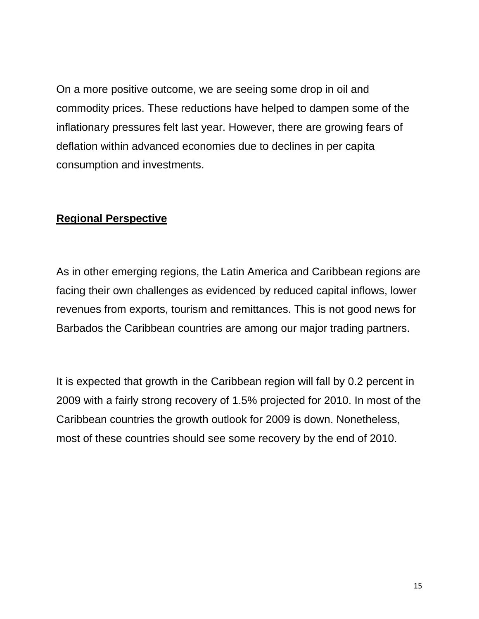On a more positive outcome, we are seeing some drop in oil and commodity prices. These reductions have helped to dampen some of the inflationary pressures felt last year. However, there are growing fears of deflation within advanced economies due to declines in per capita consumption and investments.

#### **Regional Perspective**

As in other emerging regions, the Latin America and Caribbean regions are facing their own challenges as evidenced by reduced capital inflows, lower revenues from exports, tourism and remittances. This is not good news for Barbados the Caribbean countries are among our major trading partners.

It is expected that growth in the Caribbean region will fall by 0.2 percent in 2009 with a fairly strong recovery of 1.5% projected for 2010. In most of the Caribbean countries the growth outlook for 2009 is down. Nonetheless, most of these countries should see some recovery by the end of 2010.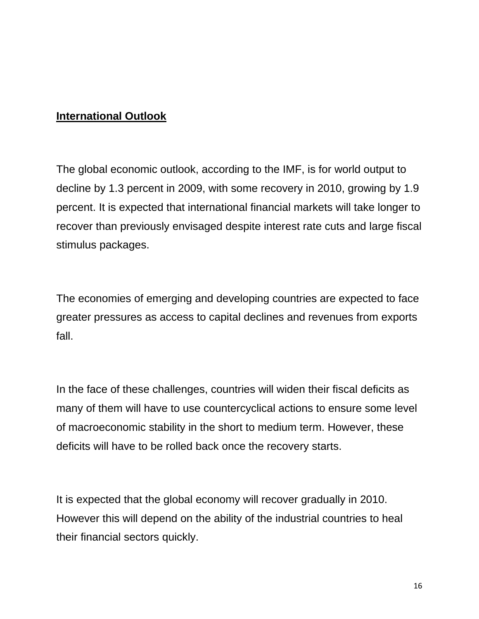### **International Outlook**

The global economic outlook, according to the IMF, is for world output to decline by 1.3 percent in 2009, with some recovery in 2010, growing by 1.9 percent. It is expected that international financial markets will take longer to recover than previously envisaged despite interest rate cuts and large fiscal stimulus packages.

The economies of emerging and developing countries are expected to face greater pressures as access to capital declines and revenues from exports fall.

In the face of these challenges, countries will widen their fiscal deficits as many of them will have to use countercyclical actions to ensure some level of macroeconomic stability in the short to medium term. However, these deficits will have to be rolled back once the recovery starts.

It is expected that the global economy will recover gradually in 2010. However this will depend on the ability of the industrial countries to heal their financial sectors quickly.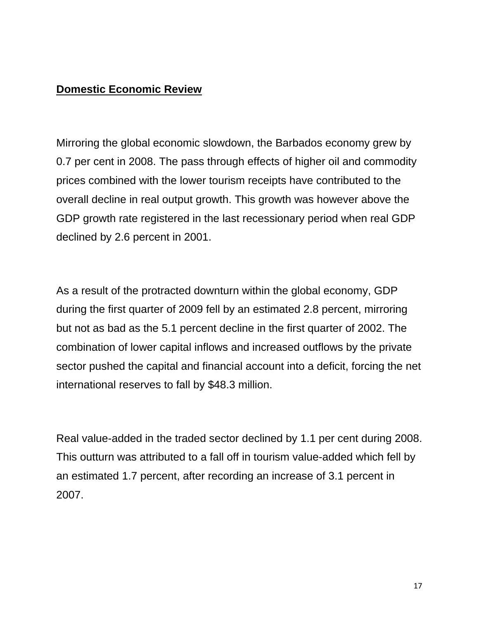### **Domestic Economic Review**

Mirroring the global economic slowdown, the Barbados economy grew by 0.7 per cent in 2008. The pass through effects of higher oil and commodity prices combined with the lower tourism receipts have contributed to the overall decline in real output growth. This growth was however above the GDP growth rate registered in the last recessionary period when real GDP declined by 2.6 percent in 2001.

As a result of the protracted downturn within the global economy, GDP during the first quarter of 2009 fell by an estimated 2.8 percent, mirroring but not as bad as the 5.1 percent decline in the first quarter of 2002. The combination of lower capital inflows and increased outflows by the private sector pushed the capital and financial account into a deficit, forcing the net international reserves to fall by \$48.3 million.

Real value-added in the traded sector declined by 1.1 per cent during 2008. This outturn was attributed to a fall off in tourism value-added which fell by an estimated 1.7 percent, after recording an increase of 3.1 percent in 2007.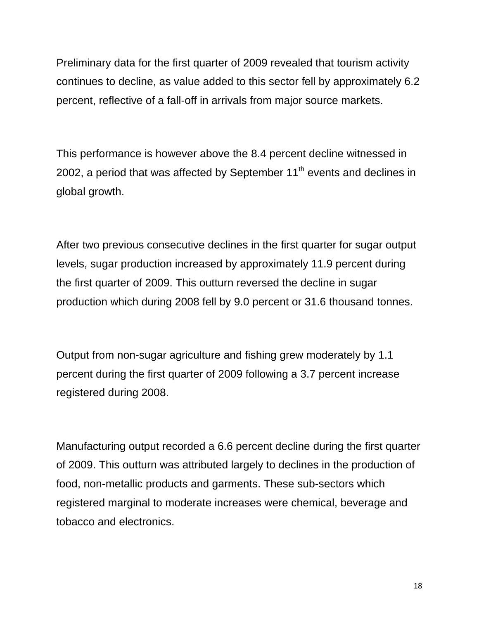Preliminary data for the first quarter of 2009 revealed that tourism activity continues to decline, as value added to this sector fell by approximately 6.2 percent, reflective of a fall-off in arrivals from major source markets.

This performance is however above the 8.4 percent decline witnessed in 2002, a period that was affected by September  $11<sup>th</sup>$  events and declines in global growth.

After two previous consecutive declines in the first quarter for sugar output levels, sugar production increased by approximately 11.9 percent during the first quarter of 2009. This outturn reversed the decline in sugar production which during 2008 fell by 9.0 percent or 31.6 thousand tonnes.

Output from non-sugar agriculture and fishing grew moderately by 1.1 percent during the first quarter of 2009 following a 3.7 percent increase registered during 2008.

Manufacturing output recorded a 6.6 percent decline during the first quarter of 2009. This outturn was attributed largely to declines in the production of food, non-metallic products and garments. These sub-sectors which registered marginal to moderate increases were chemical, beverage and tobacco and electronics.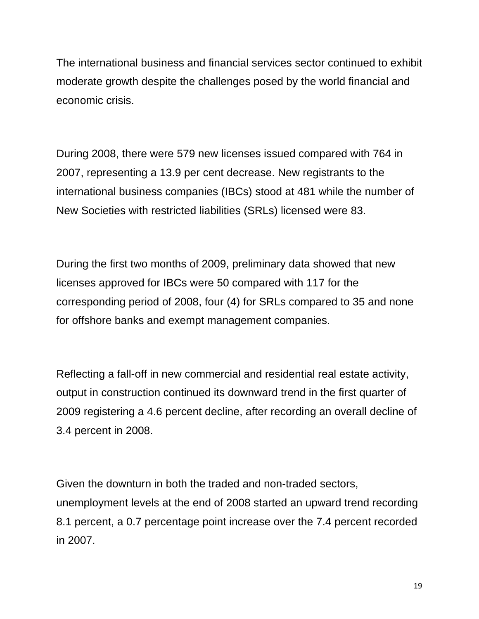The international business and financial services sector continued to exhibit moderate growth despite the challenges posed by the world financial and economic crisis.

During 2008, there were 579 new licenses issued compared with 764 in 2007, representing a 13.9 per cent decrease. New registrants to the international business companies (IBCs) stood at 481 while the number of New Societies with restricted liabilities (SRLs) licensed were 83.

During the first two months of 2009, preliminary data showed that new licenses approved for IBCs were 50 compared with 117 for the corresponding period of 2008, four (4) for SRLs compared to 35 and none for offshore banks and exempt management companies.

Reflecting a fall-off in new commercial and residential real estate activity, output in construction continued its downward trend in the first quarter of 2009 registering a 4.6 percent decline, after recording an overall decline of 3.4 percent in 2008.

Given the downturn in both the traded and non-traded sectors, unemployment levels at the end of 2008 started an upward trend recording 8.1 percent, a 0.7 percentage point increase over the 7.4 percent recorded in 2007.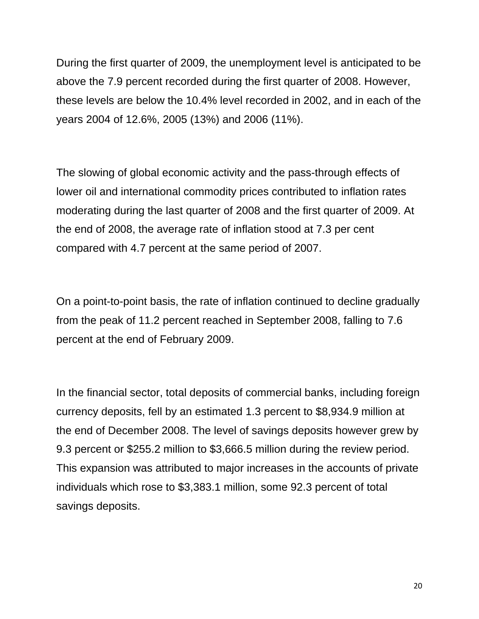During the first quarter of 2009, the unemployment level is anticipated to be above the 7.9 percent recorded during the first quarter of 2008. However, these levels are below the 10.4% level recorded in 2002, and in each of the years 2004 of 12.6%, 2005 (13%) and 2006 (11%).

The slowing of global economic activity and the pass-through effects of lower oil and international commodity prices contributed to inflation rates moderating during the last quarter of 2008 and the first quarter of 2009. At the end of 2008, the average rate of inflation stood at 7.3 per cent compared with 4.7 percent at the same period of 2007.

On a point-to-point basis, the rate of inflation continued to decline gradually from the peak of 11.2 percent reached in September 2008, falling to 7.6 percent at the end of February 2009.

In the financial sector, total deposits of commercial banks, including foreign currency deposits, fell by an estimated 1.3 percent to \$8,934.9 million at the end of December 2008. The level of savings deposits however grew by 9.3 percent or \$255.2 million to \$3,666.5 million during the review period. This expansion was attributed to major increases in the accounts of private individuals which rose to \$3,383.1 million, some 92.3 percent of total savings deposits.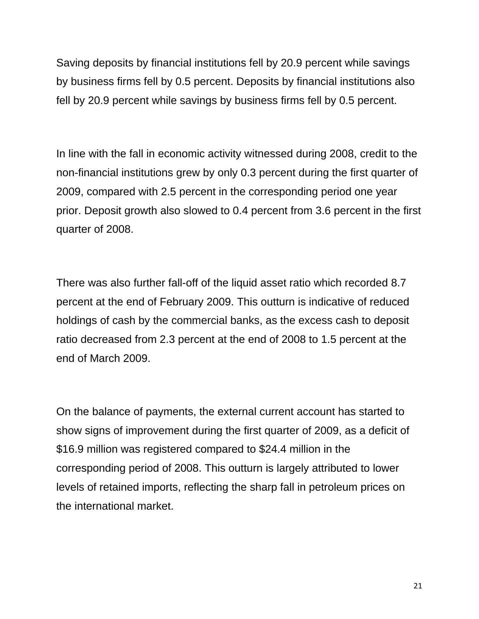Saving deposits by financial institutions fell by 20.9 percent while savings by business firms fell by 0.5 percent. Deposits by financial institutions also fell by 20.9 percent while savings by business firms fell by 0.5 percent.

In line with the fall in economic activity witnessed during 2008, credit to the non-financial institutions grew by only 0.3 percent during the first quarter of 2009, compared with 2.5 percent in the corresponding period one year prior. Deposit growth also slowed to 0.4 percent from 3.6 percent in the first quarter of 2008.

There was also further fall-off of the liquid asset ratio which recorded 8.7 percent at the end of February 2009. This outturn is indicative of reduced holdings of cash by the commercial banks, as the excess cash to deposit ratio decreased from 2.3 percent at the end of 2008 to 1.5 percent at the end of March 2009.

On the balance of payments, the external current account has started to show signs of improvement during the first quarter of 2009, as a deficit of \$16.9 million was registered compared to \$24.4 million in the corresponding period of 2008. This outturn is largely attributed to lower levels of retained imports, reflecting the sharp fall in petroleum prices on the international market.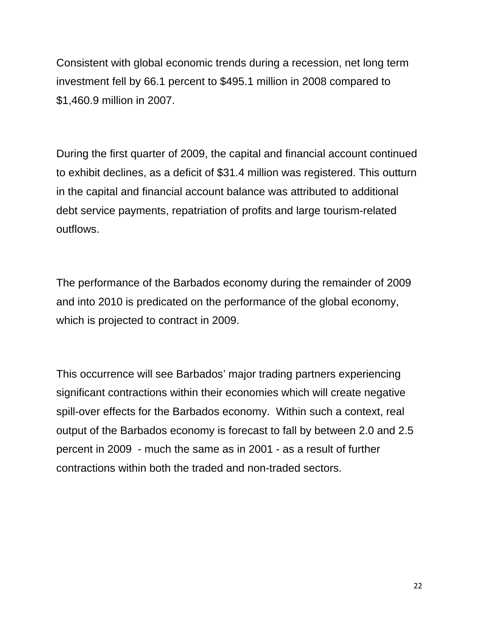Consistent with global economic trends during a recession, net long term investment fell by 66.1 percent to \$495.1 million in 2008 compared to \$1,460.9 million in 2007.

During the first quarter of 2009, the capital and financial account continued to exhibit declines, as a deficit of \$31.4 million was registered. This outturn in the capital and financial account balance was attributed to additional debt service payments, repatriation of profits and large tourism-related outflows.

The performance of the Barbados economy during the remainder of 2009 and into 2010 is predicated on the performance of the global economy, which is projected to contract in 2009.

This occurrence will see Barbados' major trading partners experiencing significant contractions within their economies which will create negative spill-over effects for the Barbados economy. Within such a context, real output of the Barbados economy is forecast to fall by between 2.0 and 2.5 percent in 2009 - much the same as in 2001 - as a result of further contractions within both the traded and non-traded sectors.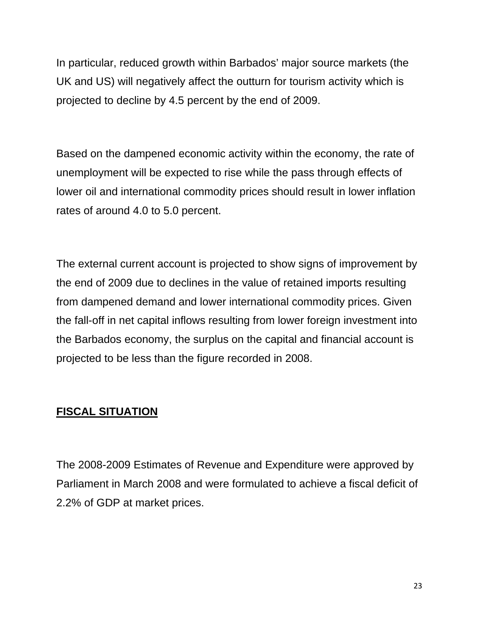In particular, reduced growth within Barbados' major source markets (the UK and US) will negatively affect the outturn for tourism activity which is projected to decline by 4.5 percent by the end of 2009.

Based on the dampened economic activity within the economy, the rate of unemployment will be expected to rise while the pass through effects of lower oil and international commodity prices should result in lower inflation rates of around 4.0 to 5.0 percent.

The external current account is projected to show signs of improvement by the end of 2009 due to declines in the value of retained imports resulting from dampened demand and lower international commodity prices. Given the fall-off in net capital inflows resulting from lower foreign investment into the Barbados economy, the surplus on the capital and financial account is projected to be less than the figure recorded in 2008.

### **FISCAL SITUATION**

The 2008-2009 Estimates of Revenue and Expenditure were approved by Parliament in March 2008 and were formulated to achieve a fiscal deficit of 2.2% of GDP at market prices.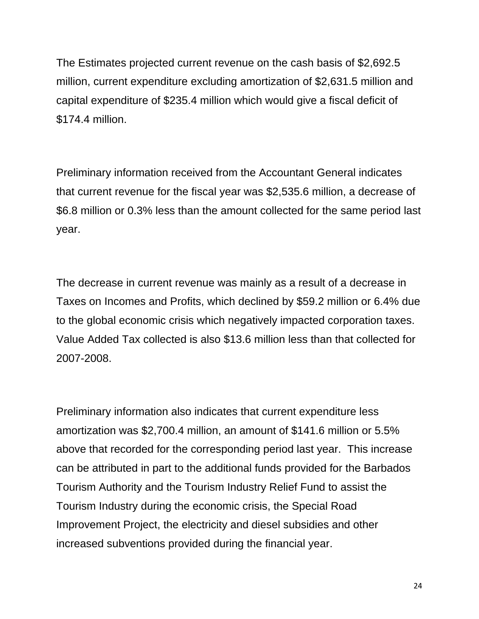The Estimates projected current revenue on the cash basis of \$2,692.5 million, current expenditure excluding amortization of \$2,631.5 million and capital expenditure of \$235.4 million which would give a fiscal deficit of \$174.4 million.

Preliminary information received from the Accountant General indicates that current revenue for the fiscal year was \$2,535.6 million, a decrease of \$6.8 million or 0.3% less than the amount collected for the same period last year.

The decrease in current revenue was mainly as a result of a decrease in Taxes on Incomes and Profits, which declined by \$59.2 million or 6.4% due to the global economic crisis which negatively impacted corporation taxes. Value Added Tax collected is also \$13.6 million less than that collected for 2007-2008.

Preliminary information also indicates that current expenditure less amortization was \$2,700.4 million, an amount of \$141.6 million or 5.5% above that recorded for the corresponding period last year. This increase can be attributed in part to the additional funds provided for the Barbados Tourism Authority and the Tourism Industry Relief Fund to assist the Tourism Industry during the economic crisis, the Special Road Improvement Project, the electricity and diesel subsidies and other increased subventions provided during the financial year.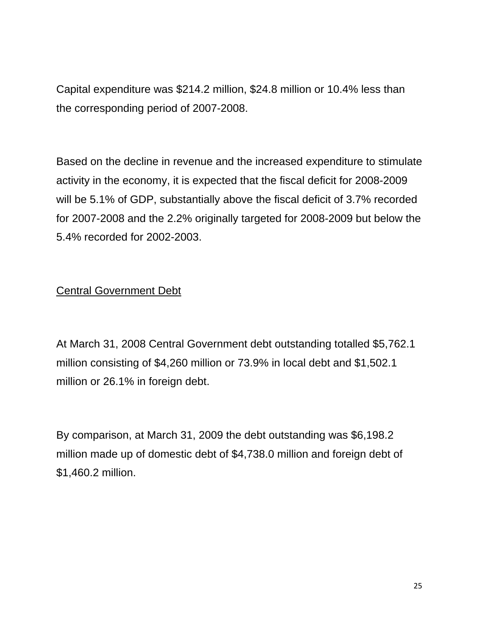Capital expenditure was \$214.2 million, \$24.8 million or 10.4% less than the corresponding period of 2007-2008.

Based on the decline in revenue and the increased expenditure to stimulate activity in the economy, it is expected that the fiscal deficit for 2008-2009 will be 5.1% of GDP, substantially above the fiscal deficit of 3.7% recorded for 2007-2008 and the 2.2% originally targeted for 2008-2009 but below the 5.4% recorded for 2002-2003.

### Central Government Debt

At March 31, 2008 Central Government debt outstanding totalled \$5,762.1 million consisting of \$4,260 million or 73.9% in local debt and \$1,502.1 million or 26.1% in foreign debt.

By comparison, at March 31, 2009 the debt outstanding was \$6,198.2 million made up of domestic debt of \$4,738.0 million and foreign debt of \$1,460.2 million.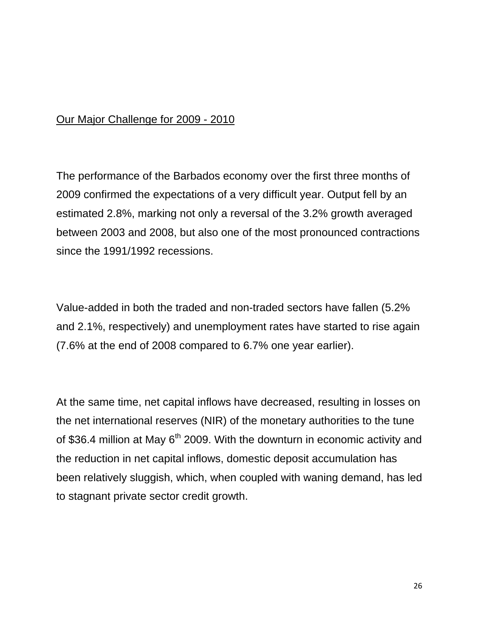### Our Major Challenge for 2009 - 2010

The performance of the Barbados economy over the first three months of 2009 confirmed the expectations of a very difficult year. Output fell by an estimated 2.8%, marking not only a reversal of the 3.2% growth averaged between 2003 and 2008, but also one of the most pronounced contractions since the 1991/1992 recessions.

Value-added in both the traded and non-traded sectors have fallen (5.2% and 2.1%, respectively) and unemployment rates have started to rise again (7.6% at the end of 2008 compared to 6.7% one year earlier).

At the same time, net capital inflows have decreased, resulting in losses on the net international reserves (NIR) of the monetary authorities to the tune of \$36.4 million at May  $6<sup>th</sup>$  2009. With the downturn in economic activity and the reduction in net capital inflows, domestic deposit accumulation has been relatively sluggish, which, when coupled with waning demand, has led to stagnant private sector credit growth.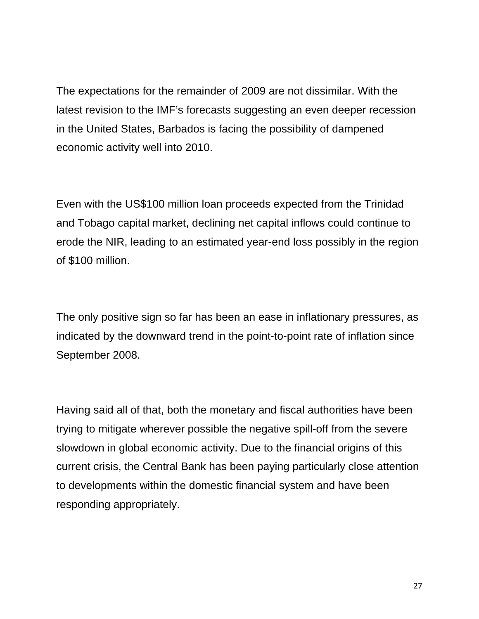The expectations for the remainder of 2009 are not dissimilar. With the latest revision to the IMF's forecasts suggesting an even deeper recession in the United States, Barbados is facing the possibility of dampened economic activity well into 2010.

Even with the US\$100 million loan proceeds expected from the Trinidad and Tobago capital market, declining net capital inflows could continue to erode the NIR, leading to an estimated year-end loss possibly in the region of \$100 million.

The only positive sign so far has been an ease in inflationary pressures, as indicated by the downward trend in the point-to-point rate of inflation since September 2008.

Having said all of that, both the monetary and fiscal authorities have been trying to mitigate wherever possible the negative spill-off from the severe slowdown in global economic activity. Due to the financial origins of this current crisis, the Central Bank has been paying particularly close attention to developments within the domestic financial system and have been responding appropriately.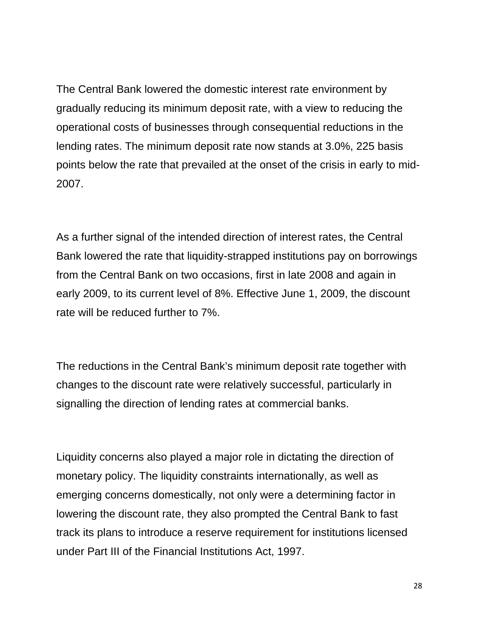The Central Bank lowered the domestic interest rate environment by gradually reducing its minimum deposit rate, with a view to reducing the operational costs of businesses through consequential reductions in the lending rates. The minimum deposit rate now stands at 3.0%, 225 basis points below the rate that prevailed at the onset of the crisis in early to mid-2007.

As a further signal of the intended direction of interest rates, the Central Bank lowered the rate that liquidity-strapped institutions pay on borrowings from the Central Bank on two occasions, first in late 2008 and again in early 2009, to its current level of 8%. Effective June 1, 2009, the discount rate will be reduced further to 7%.

The reductions in the Central Bank's minimum deposit rate together with changes to the discount rate were relatively successful, particularly in signalling the direction of lending rates at commercial banks.

Liquidity concerns also played a major role in dictating the direction of monetary policy. The liquidity constraints internationally, as well as emerging concerns domestically, not only were a determining factor in lowering the discount rate, they also prompted the Central Bank to fast track its plans to introduce a reserve requirement for institutions licensed under Part III of the Financial Institutions Act, 1997.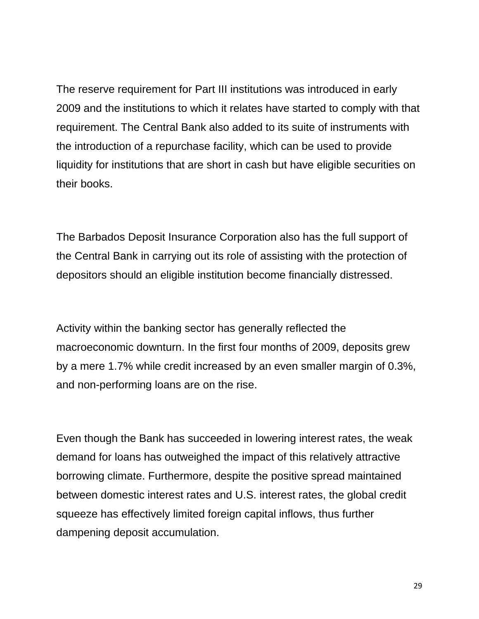The reserve requirement for Part III institutions was introduced in early 2009 and the institutions to which it relates have started to comply with that requirement. The Central Bank also added to its suite of instruments with the introduction of a repurchase facility, which can be used to provide liquidity for institutions that are short in cash but have eligible securities on their books.

The Barbados Deposit Insurance Corporation also has the full support of the Central Bank in carrying out its role of assisting with the protection of depositors should an eligible institution become financially distressed.

Activity within the banking sector has generally reflected the macroeconomic downturn. In the first four months of 2009, deposits grew by a mere 1.7% while credit increased by an even smaller margin of 0.3%, and non-performing loans are on the rise.

Even though the Bank has succeeded in lowering interest rates, the weak demand for loans has outweighed the impact of this relatively attractive borrowing climate. Furthermore, despite the positive spread maintained between domestic interest rates and U.S. interest rates, the global credit squeeze has effectively limited foreign capital inflows, thus further dampening deposit accumulation.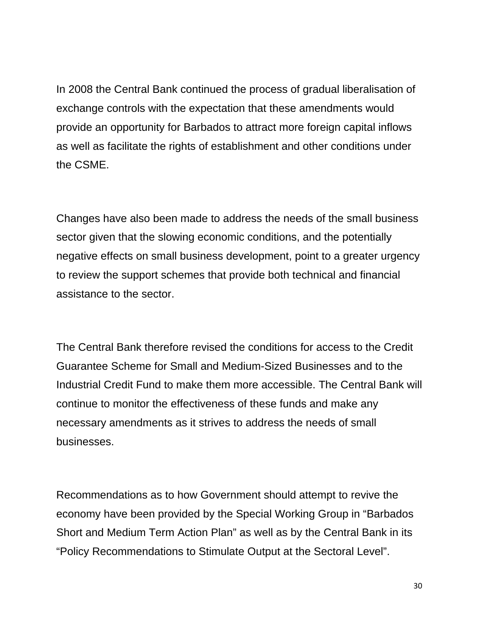In 2008 the Central Bank continued the process of gradual liberalisation of exchange controls with the expectation that these amendments would provide an opportunity for Barbados to attract more foreign capital inflows as well as facilitate the rights of establishment and other conditions under the CSME.

Changes have also been made to address the needs of the small business sector given that the slowing economic conditions, and the potentially negative effects on small business development, point to a greater urgency to review the support schemes that provide both technical and financial assistance to the sector.

The Central Bank therefore revised the conditions for access to the Credit Guarantee Scheme for Small and Medium-Sized Businesses and to the Industrial Credit Fund to make them more accessible. The Central Bank will continue to monitor the effectiveness of these funds and make any necessary amendments as it strives to address the needs of small businesses.

Recommendations as to how Government should attempt to revive the economy have been provided by the Special Working Group in "Barbados Short and Medium Term Action Plan" as well as by the Central Bank in its "Policy Recommendations to Stimulate Output at the Sectoral Level".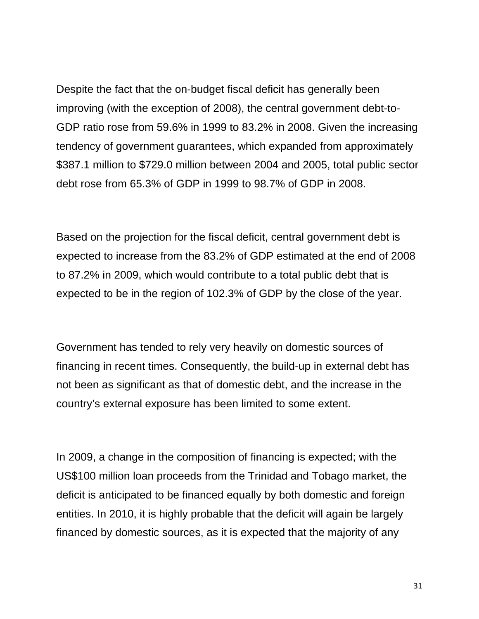Despite the fact that the on-budget fiscal deficit has generally been improving (with the exception of 2008), the central government debt-to-GDP ratio rose from 59.6% in 1999 to 83.2% in 2008. Given the increasing tendency of government guarantees, which expanded from approximately \$387.1 million to \$729.0 million between 2004 and 2005, total public sector debt rose from 65.3% of GDP in 1999 to 98.7% of GDP in 2008.

Based on the projection for the fiscal deficit, central government debt is expected to increase from the 83.2% of GDP estimated at the end of 2008 to 87.2% in 2009, which would contribute to a total public debt that is expected to be in the region of 102.3% of GDP by the close of the year.

Government has tended to rely very heavily on domestic sources of financing in recent times. Consequently, the build-up in external debt has not been as significant as that of domestic debt, and the increase in the country's external exposure has been limited to some extent.

In 2009, a change in the composition of financing is expected; with the US\$100 million loan proceeds from the Trinidad and Tobago market, the deficit is anticipated to be financed equally by both domestic and foreign entities. In 2010, it is highly probable that the deficit will again be largely financed by domestic sources, as it is expected that the majority of any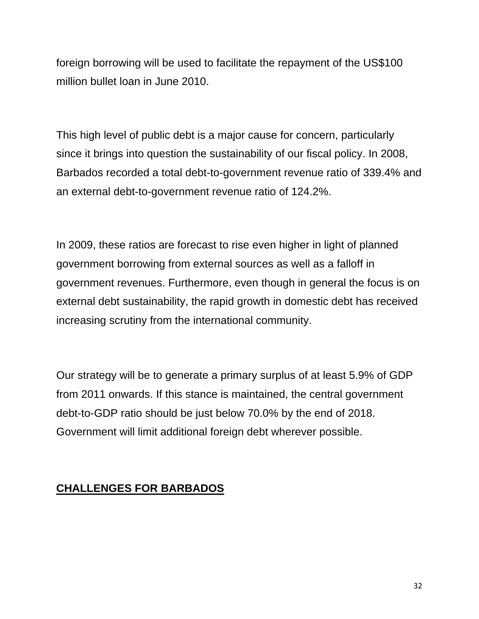foreign borrowing will be used to facilitate the repayment of the US\$100 million bullet loan in June 2010.

This high level of public debt is a major cause for concern, particularly since it brings into question the sustainability of our fiscal policy. In 2008, Barbados recorded a total debt-to-government revenue ratio of 339.4% and an external debt-to-government revenue ratio of 124.2%.

In 2009, these ratios are forecast to rise even higher in light of planned government borrowing from external sources as well as a falloff in government revenues. Furthermore, even though in general the focus is on external debt sustainability, the rapid growth in domestic debt has received increasing scrutiny from the international community.

Our strategy will be to generate a primary surplus of at least 5.9% of GDP from 2011 onwards. If this stance is maintained, the central government debt-to-GDP ratio should be just below 70.0% by the end of 2018. Government will limit additional foreign debt wherever possible.

## **CHALLENGES FOR BARBADOS**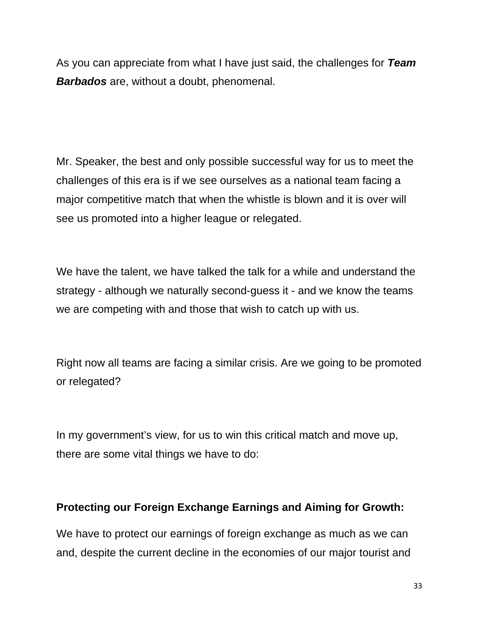As you can appreciate from what I have just said, the challenges for *Team Barbados* are, without a doubt, phenomenal.

Mr. Speaker, the best and only possible successful way for us to meet the challenges of this era is if we see ourselves as a national team facing a major competitive match that when the whistle is blown and it is over will see us promoted into a higher league or relegated.

We have the talent, we have talked the talk for a while and understand the strategy - although we naturally second-guess it - and we know the teams we are competing with and those that wish to catch up with us.

Right now all teams are facing a similar crisis. Are we going to be promoted or relegated?

In my government's view, for us to win this critical match and move up, there are some vital things we have to do:

#### **Protecting our Foreign Exchange Earnings and Aiming for Growth:**

We have to protect our earnings of foreign exchange as much as we can and, despite the current decline in the economies of our major tourist and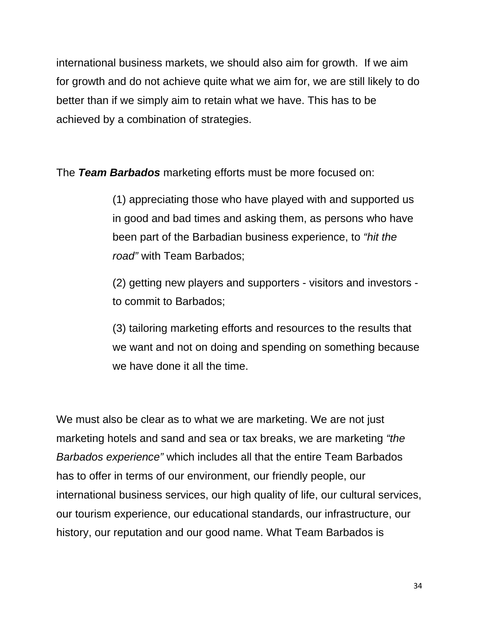international business markets, we should also aim for growth. If we aim for growth and do not achieve quite what we aim for, we are still likely to do better than if we simply aim to retain what we have. This has to be achieved by a combination of strategies.

The *Team Barbados* marketing efforts must be more focused on:

(1) appreciating those who have played with and supported us in good and bad times and asking them, as persons who have been part of the Barbadian business experience, to *"hit the road"* with Team Barbados;

(2) getting new players and supporters - visitors and investors to commit to Barbados;

(3) tailoring marketing efforts and resources to the results that we want and not on doing and spending on something because we have done it all the time.

We must also be clear as to what we are marketing. We are not just marketing hotels and sand and sea or tax breaks, we are marketing *"the Barbados experience"* which includes all that the entire Team Barbados has to offer in terms of our environment, our friendly people, our international business services, our high quality of life, our cultural services, our tourism experience, our educational standards, our infrastructure, our history, our reputation and our good name. What Team Barbados is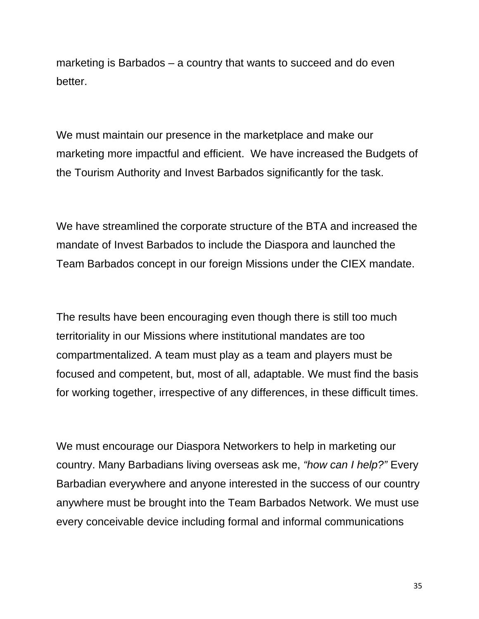marketing is Barbados – a country that wants to succeed and do even better.

We must maintain our presence in the marketplace and make our marketing more impactful and efficient. We have increased the Budgets of the Tourism Authority and Invest Barbados significantly for the task.

We have streamlined the corporate structure of the BTA and increased the mandate of Invest Barbados to include the Diaspora and launched the Team Barbados concept in our foreign Missions under the CIEX mandate.

The results have been encouraging even though there is still too much territoriality in our Missions where institutional mandates are too compartmentalized. A team must play as a team and players must be focused and competent, but, most of all, adaptable. We must find the basis for working together, irrespective of any differences, in these difficult times.

We must encourage our Diaspora Networkers to help in marketing our country. Many Barbadians living overseas ask me, *"how can I help?"* Every Barbadian everywhere and anyone interested in the success of our country anywhere must be brought into the Team Barbados Network. We must use every conceivable device including formal and informal communications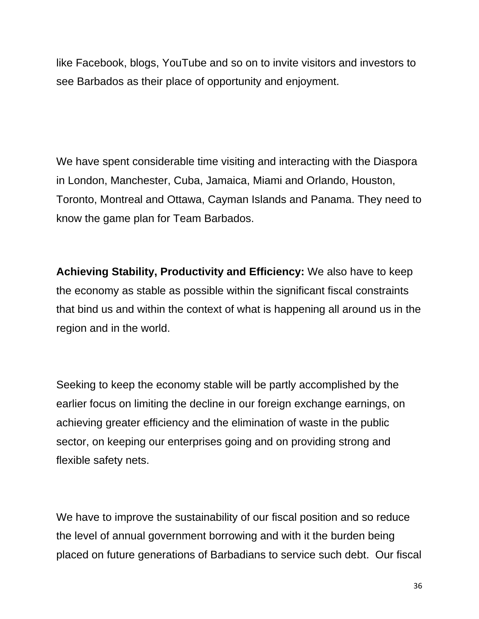like Facebook, blogs, YouTube and so on to invite visitors and investors to see Barbados as their place of opportunity and enjoyment.

We have spent considerable time visiting and interacting with the Diaspora in London, Manchester, Cuba, Jamaica, Miami and Orlando, Houston, Toronto, Montreal and Ottawa, Cayman Islands and Panama. They need to know the game plan for Team Barbados.

**Achieving Stability, Productivity and Efficiency:** We also have to keep the economy as stable as possible within the significant fiscal constraints that bind us and within the context of what is happening all around us in the region and in the world.

Seeking to keep the economy stable will be partly accomplished by the earlier focus on limiting the decline in our foreign exchange earnings, on achieving greater efficiency and the elimination of waste in the public sector, on keeping our enterprises going and on providing strong and flexible safety nets.

We have to improve the sustainability of our fiscal position and so reduce the level of annual government borrowing and with it the burden being placed on future generations of Barbadians to service such debt. Our fiscal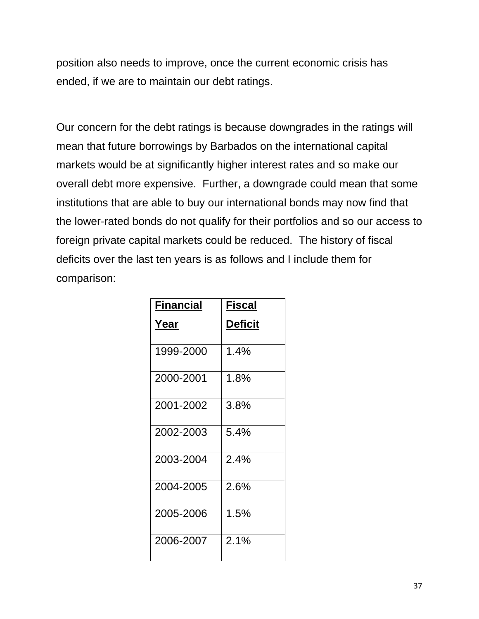position also needs to improve, once the current economic crisis has ended, if we are to maintain our debt ratings.

Our concern for the debt ratings is because downgrades in the ratings will mean that future borrowings by Barbados on the international capital markets would be at significantly higher interest rates and so make our overall debt more expensive. Further, a downgrade could mean that some institutions that are able to buy our international bonds may now find that the lower-rated bonds do not qualify for their portfolios and so our access to foreign private capital markets could be reduced. The history of fiscal deficits over the last ten years is as follows and I include them for comparison:

| Financial | Fiscal         |
|-----------|----------------|
| Year      | <b>Deficit</b> |
| 1999-2000 | 1.4%           |
| 2000-2001 | 1.8%           |
| 2001-2002 | 3.8%           |
| 2002-2003 | 5.4%           |
| 2003-2004 | 2.4%           |
| 2004-2005 | 2.6%           |
| 2005-2006 | 1.5%           |
| 2006-2007 | 2.1%           |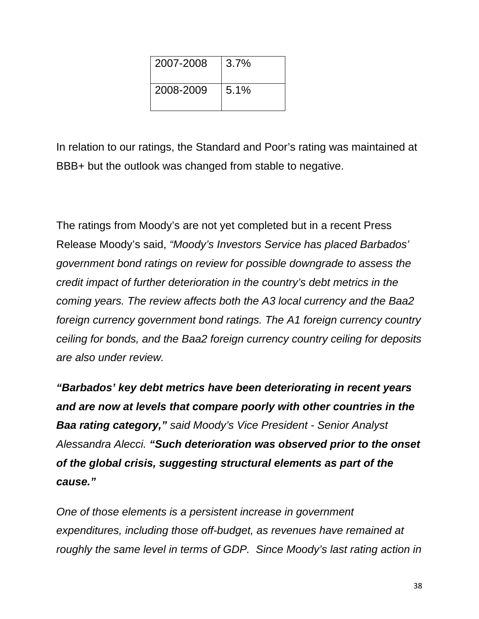| 2007-2008 | 3.7% |
|-----------|------|
| 2008-2009 | 5.1% |

In relation to our ratings, the Standard and Poor's rating was maintained at BBB+ but the outlook was changed from stable to negative.

The ratings from Moody's are not yet completed but in a recent Press Release Moody's said, *"Moody's Investors Service has placed Barbados' government bond ratings on review for possible downgrade to assess the credit impact of further deterioration in the country's debt metrics in the coming years. The review affects both the A3 local currency and the Baa2 foreign currency government bond ratings. The A1 foreign currency country ceiling for bonds, and the Baa2 foreign currency country ceiling for deposits are also under review.* 

*"Barbados' key debt metrics have been deteriorating in recent years and are now at levels that compare poorly with other countries in the Baa rating category," said Moody's Vice President - Senior Analyst Alessandra Alecci. "Such deterioration was observed prior to the onset of the global crisis, suggesting structural elements as part of the cause."* 

*One of those elements is a persistent increase in government expenditures, including those off-budget, as revenues have remained at roughly the same level in terms of GDP. Since Moody's last rating action in*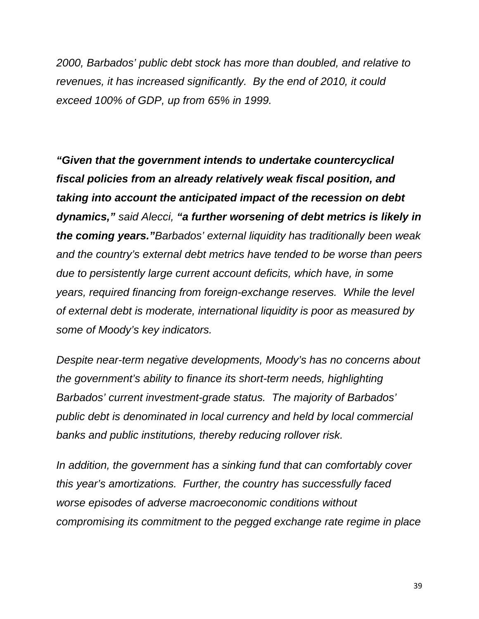*2000, Barbados' public debt stock has more than doubled, and relative to revenues, it has increased significantly. By the end of 2010, it could exceed 100% of GDP, up from 65% in 1999.* 

*"Given that the government intends to undertake countercyclical fiscal policies from an already relatively weak fiscal position, and taking into account the anticipated impact of the recession on debt dynamics," said Alecci, "a further worsening of debt metrics is likely in the coming years."Barbados' external liquidity has traditionally been weak and the country's external debt metrics have tended to be worse than peers due to persistently large current account deficits, which have, in some years, required financing from foreign-exchange reserves. While the level of external debt is moderate, international liquidity is poor as measured by some of Moody's key indicators.* 

*Despite near-term negative developments, Moody's has no concerns about the government's ability to finance its short-term needs, highlighting Barbados' current investment-grade status. The majority of Barbados' public debt is denominated in local currency and held by local commercial banks and public institutions, thereby reducing rollover risk.* 

*In addition, the government has a sinking fund that can comfortably cover this year's amortizations. Further, the country has successfully faced worse episodes of adverse macroeconomic conditions without compromising its commitment to the pegged exchange rate regime in place*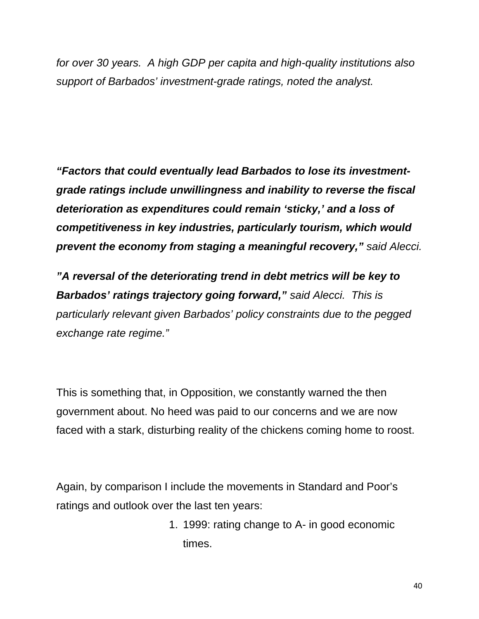*for over 30 years. A high GDP per capita and high-quality institutions also support of Barbados' investment-grade ratings, noted the analyst.* 

*"Factors that could eventually lead Barbados to lose its investmentgrade ratings include unwillingness and inability to reverse the fiscal deterioration as expenditures could remain 'sticky,' and a loss of competitiveness in key industries, particularly tourism, which would prevent the economy from staging a meaningful recovery," said Alecci.* 

*"A reversal of the deteriorating trend in debt metrics will be key to Barbados' ratings trajectory going forward," said Alecci. This is particularly relevant given Barbados' policy constraints due to the pegged exchange rate regime."* 

This is something that, in Opposition, we constantly warned the then government about. No heed was paid to our concerns and we are now faced with a stark, disturbing reality of the chickens coming home to roost.

Again, by comparison I include the movements in Standard and Poor's ratings and outlook over the last ten years:

> 1. 1999: rating change to A- in good economic times.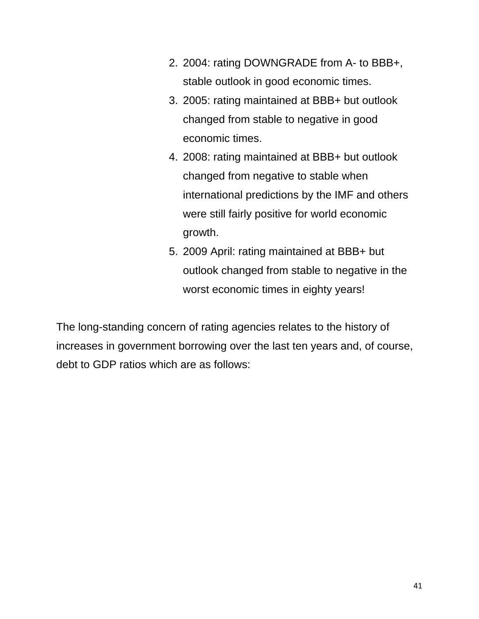- 2. 2004: rating DOWNGRADE from A- to BBB+, stable outlook in good economic times.
- 3. 2005: rating maintained at BBB+ but outlook changed from stable to negative in good economic times.
- 4. 2008: rating maintained at BBB+ but outlook changed from negative to stable when international predictions by the IMF and others were still fairly positive for world economic growth.
- 5. 2009 April: rating maintained at BBB+ but outlook changed from stable to negative in the worst economic times in eighty years!

The long-standing concern of rating agencies relates to the history of increases in government borrowing over the last ten years and, of course, debt to GDP ratios which are as follows: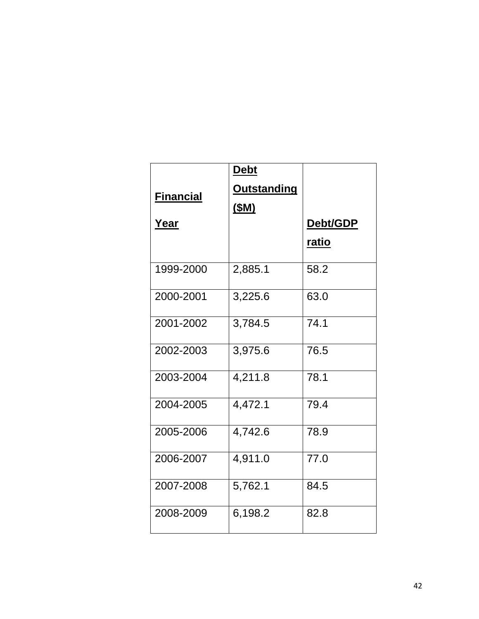|                  | <b>Debt</b>        |              |
|------------------|--------------------|--------------|
| <b>Financial</b> | <b>Outstanding</b> |              |
|                  | <u>(\$M)</u>       |              |
| <u>Year</u>      |                    | Debt/GDP     |
|                  |                    | <u>ratio</u> |
| 1999-2000        | 2,885.1            | 58.2         |
| 2000-2001        | 3,225.6            | 63.0         |
| 2001-2002        | 3,784.5            | 74.1         |
| 2002-2003        | 3,975.6            | 76.5         |
| 2003-2004        | 4,211.8            | 78.1         |
| 2004-2005        | 4,472.1            | 79.4         |
| 2005-2006        | 4,742.6            | 78.9         |
| 2006-2007        | 4,911.0            | 77.0         |
| 2007-2008        | 5,762.1            | 84.5         |
| 2008-2009        | 6,198.2            | 82.8         |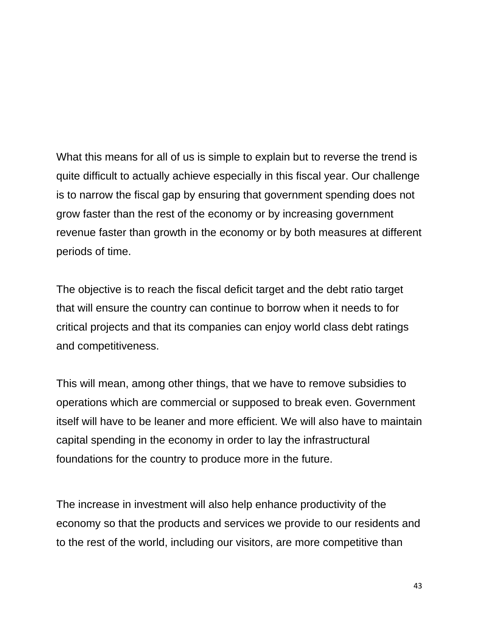What this means for all of us is simple to explain but to reverse the trend is quite difficult to actually achieve especially in this fiscal year. Our challenge is to narrow the fiscal gap by ensuring that government spending does not grow faster than the rest of the economy or by increasing government revenue faster than growth in the economy or by both measures at different periods of time.

The objective is to reach the fiscal deficit target and the debt ratio target that will ensure the country can continue to borrow when it needs to for critical projects and that its companies can enjoy world class debt ratings and competitiveness.

This will mean, among other things, that we have to remove subsidies to operations which are commercial or supposed to break even. Government itself will have to be leaner and more efficient. We will also have to maintain capital spending in the economy in order to lay the infrastructural foundations for the country to produce more in the future.

The increase in investment will also help enhance productivity of the economy so that the products and services we provide to our residents and to the rest of the world, including our visitors, are more competitive than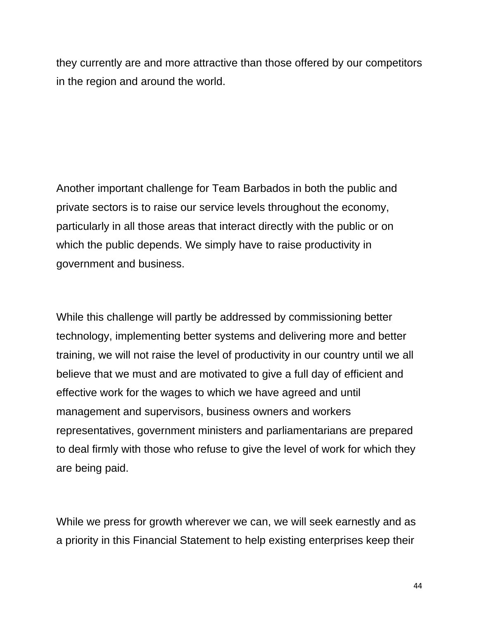they currently are and more attractive than those offered by our competitors in the region and around the world.

Another important challenge for Team Barbados in both the public and private sectors is to raise our service levels throughout the economy, particularly in all those areas that interact directly with the public or on which the public depends. We simply have to raise productivity in government and business.

While this challenge will partly be addressed by commissioning better technology, implementing better systems and delivering more and better training, we will not raise the level of productivity in our country until we all believe that we must and are motivated to give a full day of efficient and effective work for the wages to which we have agreed and until management and supervisors, business owners and workers representatives, government ministers and parliamentarians are prepared to deal firmly with those who refuse to give the level of work for which they are being paid.

While we press for growth wherever we can, we will seek earnestly and as a priority in this Financial Statement to help existing enterprises keep their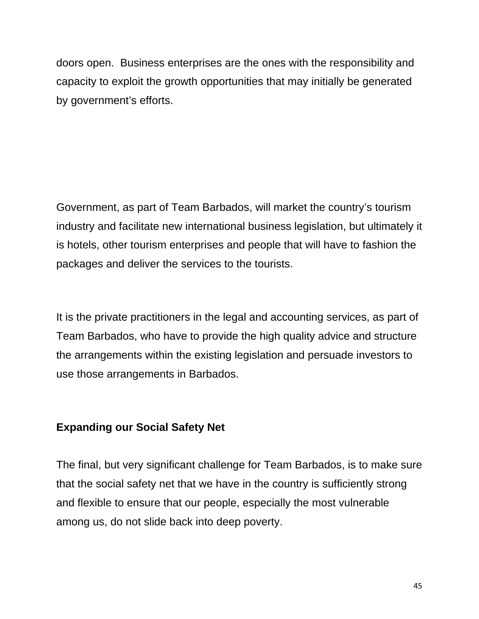doors open. Business enterprises are the ones with the responsibility and capacity to exploit the growth opportunities that may initially be generated by government's efforts.

Government, as part of Team Barbados, will market the country's tourism industry and facilitate new international business legislation, but ultimately it is hotels, other tourism enterprises and people that will have to fashion the packages and deliver the services to the tourists.

It is the private practitioners in the legal and accounting services, as part of Team Barbados, who have to provide the high quality advice and structure the arrangements within the existing legislation and persuade investors to use those arrangements in Barbados.

#### **Expanding our Social Safety Net**

The final, but very significant challenge for Team Barbados, is to make sure that the social safety net that we have in the country is sufficiently strong and flexible to ensure that our people, especially the most vulnerable among us, do not slide back into deep poverty.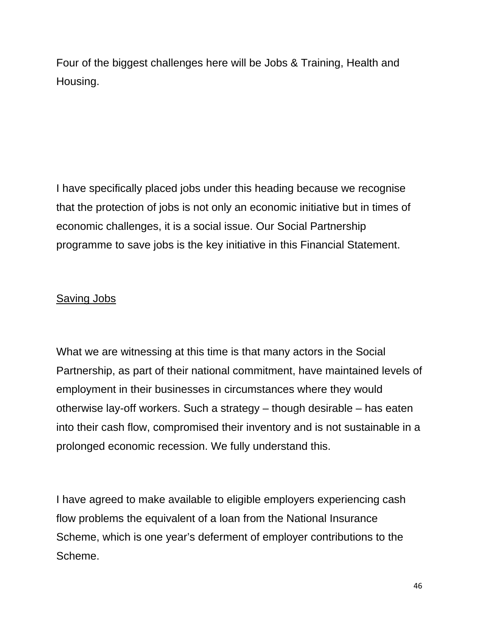Four of the biggest challenges here will be Jobs & Training, Health and Housing.

I have specifically placed jobs under this heading because we recognise that the protection of jobs is not only an economic initiative but in times of economic challenges, it is a social issue. Our Social Partnership programme to save jobs is the key initiative in this Financial Statement.

## Saving Jobs

What we are witnessing at this time is that many actors in the Social Partnership, as part of their national commitment, have maintained levels of employment in their businesses in circumstances where they would otherwise lay-off workers. Such a strategy – though desirable – has eaten into their cash flow, compromised their inventory and is not sustainable in a prolonged economic recession. We fully understand this.

I have agreed to make available to eligible employers experiencing cash flow problems the equivalent of a loan from the National Insurance Scheme, which is one year's deferment of employer contributions to the Scheme.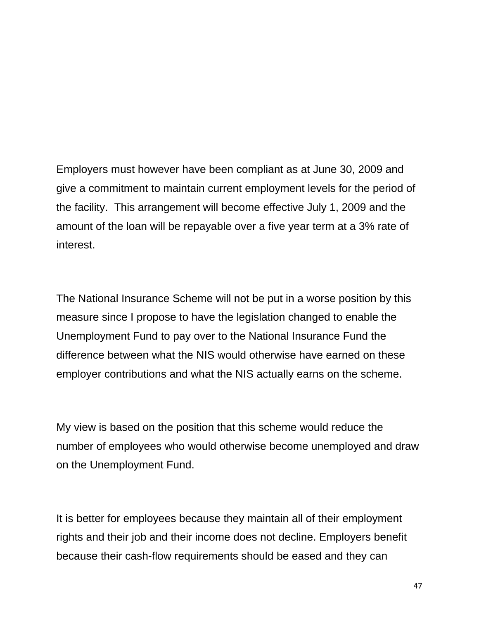Employers must however have been compliant as at June 30, 2009 and give a commitment to maintain current employment levels for the period of the facility. This arrangement will become effective July 1, 2009 and the amount of the loan will be repayable over a five year term at a 3% rate of interest.

The National Insurance Scheme will not be put in a worse position by this measure since I propose to have the legislation changed to enable the Unemployment Fund to pay over to the National Insurance Fund the difference between what the NIS would otherwise have earned on these employer contributions and what the NIS actually earns on the scheme.

My view is based on the position that this scheme would reduce the number of employees who would otherwise become unemployed and draw on the Unemployment Fund.

It is better for employees because they maintain all of their employment rights and their job and their income does not decline. Employers benefit because their cash-flow requirements should be eased and they can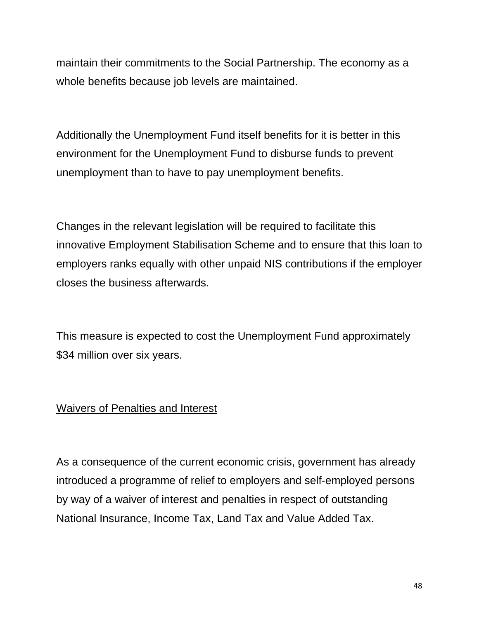maintain their commitments to the Social Partnership. The economy as a whole benefits because job levels are maintained.

Additionally the Unemployment Fund itself benefits for it is better in this environment for the Unemployment Fund to disburse funds to prevent unemployment than to have to pay unemployment benefits.

Changes in the relevant legislation will be required to facilitate this innovative Employment Stabilisation Scheme and to ensure that this loan to employers ranks equally with other unpaid NIS contributions if the employer closes the business afterwards.

This measure is expected to cost the Unemployment Fund approximately \$34 million over six years.

# Waivers of Penalties and Interest

As a consequence of the current economic crisis, government has already introduced a programme of relief to employers and self-employed persons by way of a waiver of interest and penalties in respect of outstanding National Insurance, Income Tax, Land Tax and Value Added Tax.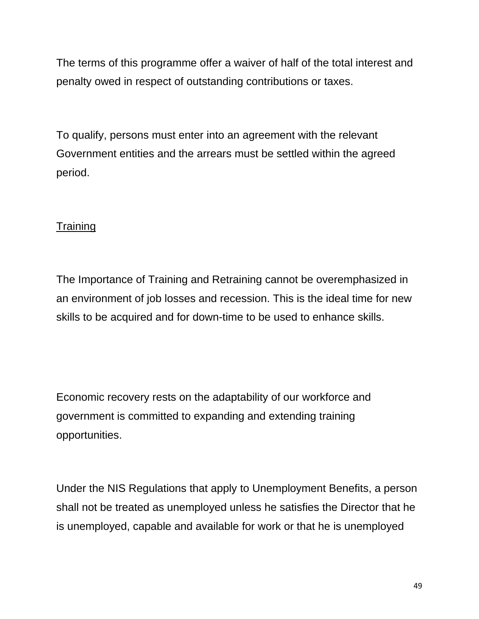The terms of this programme offer a waiver of half of the total interest and penalty owed in respect of outstanding contributions or taxes.

To qualify, persons must enter into an agreement with the relevant Government entities and the arrears must be settled within the agreed period.

## **Training**

The Importance of Training and Retraining cannot be overemphasized in an environment of job losses and recession. This is the ideal time for new skills to be acquired and for down-time to be used to enhance skills.

Economic recovery rests on the adaptability of our workforce and government is committed to expanding and extending training opportunities.

Under the NIS Regulations that apply to Unemployment Benefits, a person shall not be treated as unemployed unless he satisfies the Director that he is unemployed, capable and available for work or that he is unemployed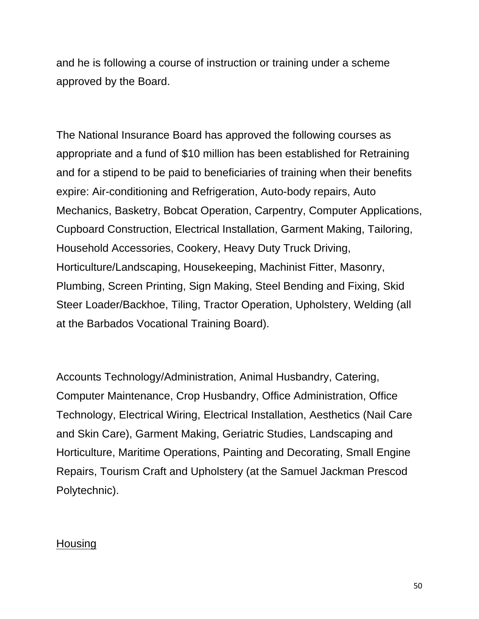and he is following a course of instruction or training under a scheme approved by the Board.

The National Insurance Board has approved the following courses as appropriate and a fund of \$10 million has been established for Retraining and for a stipend to be paid to beneficiaries of training when their benefits expire: Air-conditioning and Refrigeration, Auto-body repairs, Auto Mechanics, Basketry, Bobcat Operation, Carpentry, Computer Applications, Cupboard Construction, Electrical Installation, Garment Making, Tailoring, Household Accessories, Cookery, Heavy Duty Truck Driving, Horticulture/Landscaping, Housekeeping, Machinist Fitter, Masonry, Plumbing, Screen Printing, Sign Making, Steel Bending and Fixing, Skid Steer Loader/Backhoe, Tiling, Tractor Operation, Upholstery, Welding (all at the Barbados Vocational Training Board).

Accounts Technology/Administration, Animal Husbandry, Catering, Computer Maintenance, Crop Husbandry, Office Administration, Office Technology, Electrical Wiring, Electrical Installation, Aesthetics (Nail Care and Skin Care), Garment Making, Geriatric Studies, Landscaping and Horticulture, Maritime Operations, Painting and Decorating, Small Engine Repairs, Tourism Craft and Upholstery (at the Samuel Jackman Prescod Polytechnic).

#### Housing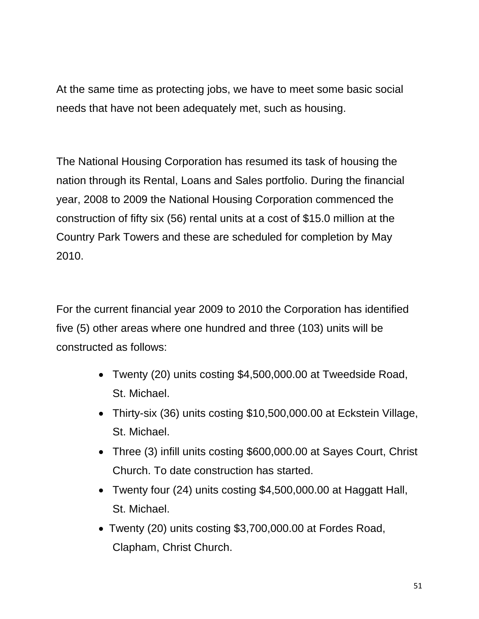At the same time as protecting jobs, we have to meet some basic social needs that have not been adequately met, such as housing.

The National Housing Corporation has resumed its task of housing the nation through its Rental, Loans and Sales portfolio. During the financial year, 2008 to 2009 the National Housing Corporation commenced the construction of fifty six (56) rental units at a cost of \$15.0 million at the Country Park Towers and these are scheduled for completion by May 2010.

For the current financial year 2009 to 2010 the Corporation has identified five (5) other areas where one hundred and three (103) units will be constructed as follows:

- Twenty (20) units costing \$4,500,000.00 at Tweedside Road, St. Michael.
- Thirty-six (36) units costing \$10,500,000.00 at Eckstein Village, St. Michael.
- Three (3) infill units costing \$600,000.00 at Sayes Court, Christ Church. To date construction has started.
- Twenty four (24) units costing \$4,500,000.00 at Haggatt Hall, St. Michael.
- Twenty (20) units costing \$3,700,000.00 at Fordes Road, Clapham, Christ Church.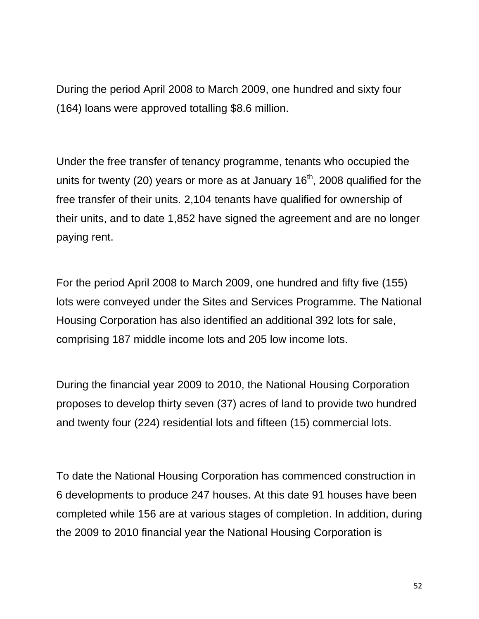During the period April 2008 to March 2009, one hundred and sixty four (164) loans were approved totalling \$8.6 million.

Under the free transfer of tenancy programme, tenants who occupied the units for twenty (20) years or more as at January  $16<sup>th</sup>$ , 2008 qualified for the free transfer of their units. 2,104 tenants have qualified for ownership of their units, and to date 1,852 have signed the agreement and are no longer paying rent.

For the period April 2008 to March 2009, one hundred and fifty five (155) lots were conveyed under the Sites and Services Programme. The National Housing Corporation has also identified an additional 392 lots for sale, comprising 187 middle income lots and 205 low income lots.

During the financial year 2009 to 2010, the National Housing Corporation proposes to develop thirty seven (37) acres of land to provide two hundred and twenty four (224) residential lots and fifteen (15) commercial lots.

To date the National Housing Corporation has commenced construction in 6 developments to produce 247 houses. At this date 91 houses have been completed while 156 are at various stages of completion. In addition, during the 2009 to 2010 financial year the National Housing Corporation is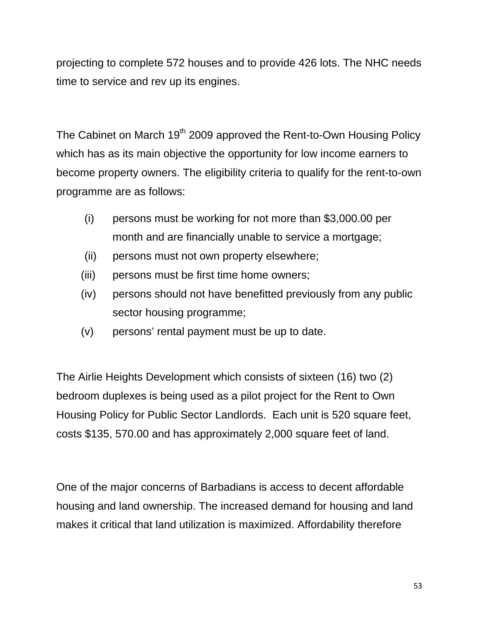projecting to complete 572 houses and to provide 426 lots. The NHC needs time to service and rev up its engines.

The Cabinet on March 19<sup>th</sup> 2009 approved the Rent-to-Own Housing Policy which has as its main objective the opportunity for low income earners to become property owners. The eligibility criteria to qualify for the rent-to-own programme are as follows:

- (i) persons must be working for not more than \$3,000.00 per month and are financially unable to service a mortgage;
- (ii) persons must not own property elsewhere;
- (iii) persons must be first time home owners;
- (iv) persons should not have benefitted previously from any public sector housing programme;
- (v) persons' rental payment must be up to date.

The Airlie Heights Development which consists of sixteen (16) two (2) bedroom duplexes is being used as a pilot project for the Rent to Own Housing Policy for Public Sector Landlords. Each unit is 520 square feet, costs \$135, 570.00 and has approximately 2,000 square feet of land.

One of the major concerns of Barbadians is access to decent affordable housing and land ownership. The increased demand for housing and land makes it critical that land utilization is maximized. Affordability therefore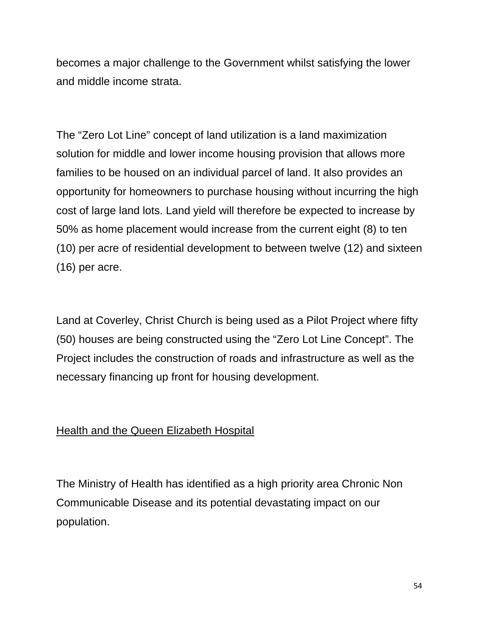becomes a major challenge to the Government whilst satisfying the lower and middle income strata.

The "Zero Lot Line" concept of land utilization is a land maximization solution for middle and lower income housing provision that allows more families to be housed on an individual parcel of land. It also provides an opportunity for homeowners to purchase housing without incurring the high cost of large land lots. Land yield will therefore be expected to increase by 50% as home placement would increase from the current eight (8) to ten (10) per acre of residential development to between twelve (12) and sixteen (16) per acre.

Land at Coverley, Christ Church is being used as a Pilot Project where fifty (50) houses are being constructed using the "Zero Lot Line Concept". The Project includes the construction of roads and infrastructure as well as the necessary financing up front for housing development.

## Health and the Queen Elizabeth Hospital

The Ministry of Health has identified as a high priority area Chronic Non Communicable Disease and its potential devastating impact on our population.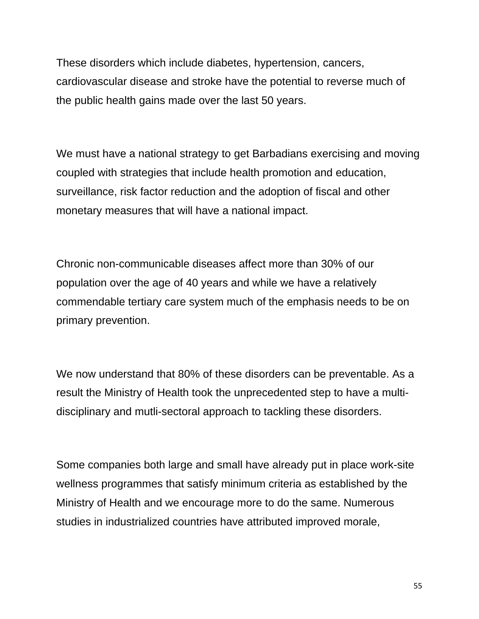These disorders which include diabetes, hypertension, cancers, cardiovascular disease and stroke have the potential to reverse much of the public health gains made over the last 50 years.

We must have a national strategy to get Barbadians exercising and moving coupled with strategies that include health promotion and education, surveillance, risk factor reduction and the adoption of fiscal and other monetary measures that will have a national impact.

Chronic non-communicable diseases affect more than 30% of our population over the age of 40 years and while we have a relatively commendable tertiary care system much of the emphasis needs to be on primary prevention.

We now understand that 80% of these disorders can be preventable. As a result the Ministry of Health took the unprecedented step to have a multidisciplinary and mutli-sectoral approach to tackling these disorders.

Some companies both large and small have already put in place work-site wellness programmes that satisfy minimum criteria as established by the Ministry of Health and we encourage more to do the same. Numerous studies in industrialized countries have attributed improved morale,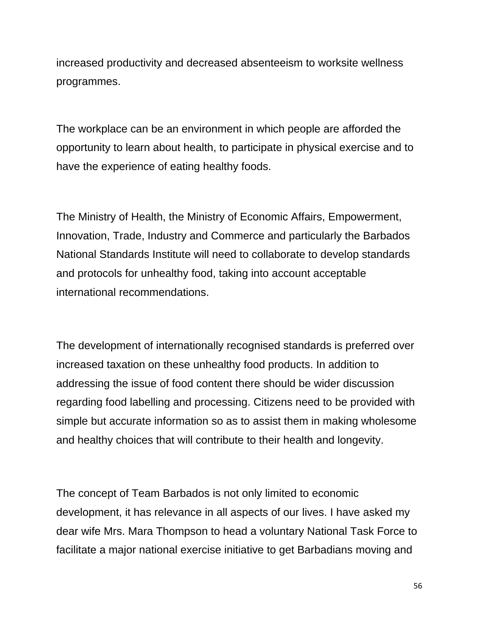increased productivity and decreased absenteeism to worksite wellness programmes.

The workplace can be an environment in which people are afforded the opportunity to learn about health, to participate in physical exercise and to have the experience of eating healthy foods.

The Ministry of Health, the Ministry of Economic Affairs, Empowerment, Innovation, Trade, Industry and Commerce and particularly the Barbados National Standards Institute will need to collaborate to develop standards and protocols for unhealthy food, taking into account acceptable international recommendations.

The development of internationally recognised standards is preferred over increased taxation on these unhealthy food products. In addition to addressing the issue of food content there should be wider discussion regarding food labelling and processing. Citizens need to be provided with simple but accurate information so as to assist them in making wholesome and healthy choices that will contribute to their health and longevity.

The concept of Team Barbados is not only limited to economic development, it has relevance in all aspects of our lives. I have asked my dear wife Mrs. Mara Thompson to head a voluntary National Task Force to facilitate a major national exercise initiative to get Barbadians moving and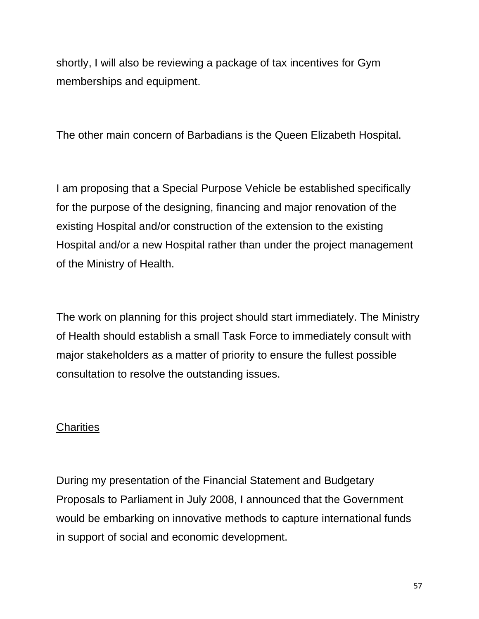shortly, I will also be reviewing a package of tax incentives for Gym memberships and equipment.

The other main concern of Barbadians is the Queen Elizabeth Hospital.

I am proposing that a Special Purpose Vehicle be established specifically for the purpose of the designing, financing and major renovation of the existing Hospital and/or construction of the extension to the existing Hospital and/or a new Hospital rather than under the project management of the Ministry of Health.

The work on planning for this project should start immediately. The Ministry of Health should establish a small Task Force to immediately consult with major stakeholders as a matter of priority to ensure the fullest possible consultation to resolve the outstanding issues.

## **Charities**

During my presentation of the Financial Statement and Budgetary Proposals to Parliament in July 2008, I announced that the Government would be embarking on innovative methods to capture international funds in support of social and economic development.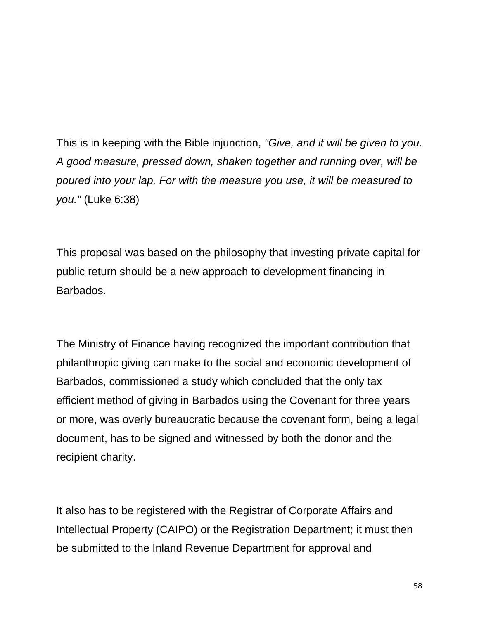This is in keeping with the Bible injunction, *"Give, and it will be given to you. A good measure, pressed down, shaken together and running over, will be poured into your lap. For with the measure you use, it will be measured to you."* (Luke 6:38)

This proposal was based on the philosophy that investing private capital for public return should be a new approach to development financing in Barbados.

The Ministry of Finance having recognized the important contribution that philanthropic giving can make to the social and economic development of Barbados, commissioned a study which concluded that the only tax efficient method of giving in Barbados using the Covenant for three years or more, was overly bureaucratic because the covenant form, being a legal document, has to be signed and witnessed by both the donor and the recipient charity.

It also has to be registered with the Registrar of Corporate Affairs and Intellectual Property (CAIPO) or the Registration Department; it must then be submitted to the Inland Revenue Department for approval and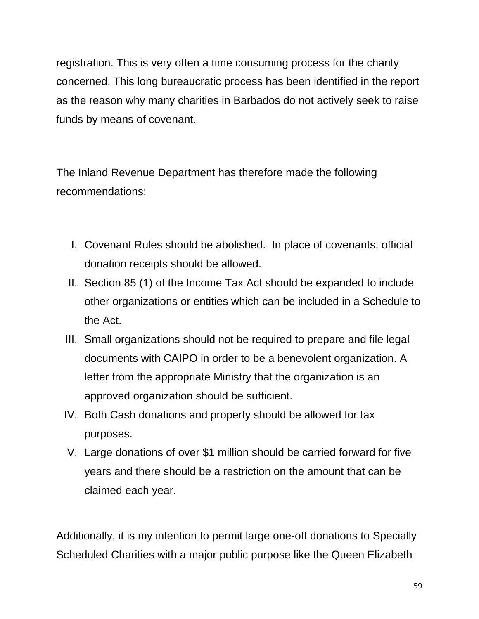registration. This is very often a time consuming process for the charity concerned. This long bureaucratic process has been identified in the report as the reason why many charities in Barbados do not actively seek to raise funds by means of covenant.

The Inland Revenue Department has therefore made the following recommendations:

- I. Covenant Rules should be abolished. In place of covenants, official donation receipts should be allowed.
- II. Section 85 (1) of the Income Tax Act should be expanded to include other organizations or entities which can be included in a Schedule to the Act.
- III. Small organizations should not be required to prepare and file legal documents with CAIPO in order to be a benevolent organization. A letter from the appropriate Ministry that the organization is an approved organization should be sufficient.
- IV. Both Cash donations and property should be allowed for tax purposes.
- V. Large donations of over \$1 million should be carried forward for five years and there should be a restriction on the amount that can be claimed each year.

Additionally, it is my intention to permit large one-off donations to Specially Scheduled Charities with a major public purpose like the Queen Elizabeth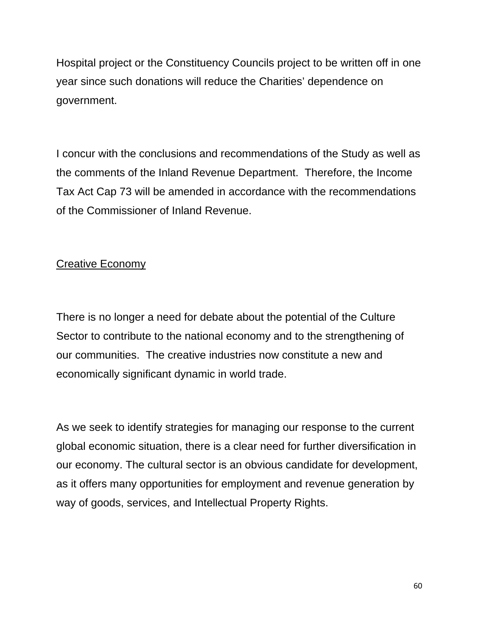Hospital project or the Constituency Councils project to be written off in one year since such donations will reduce the Charities' dependence on government.

I concur with the conclusions and recommendations of the Study as well as the comments of the Inland Revenue Department. Therefore, the Income Tax Act Cap 73 will be amended in accordance with the recommendations of the Commissioner of Inland Revenue.

## Creative Economy

There is no longer a need for debate about the potential of the Culture Sector to contribute to the national economy and to the strengthening of our communities. The creative industries now constitute a new and economically significant dynamic in world trade.

As we seek to identify strategies for managing our response to the current global economic situation, there is a clear need for further diversification in our economy. The cultural sector is an obvious candidate for development, as it offers many opportunities for employment and revenue generation by way of goods, services, and Intellectual Property Rights.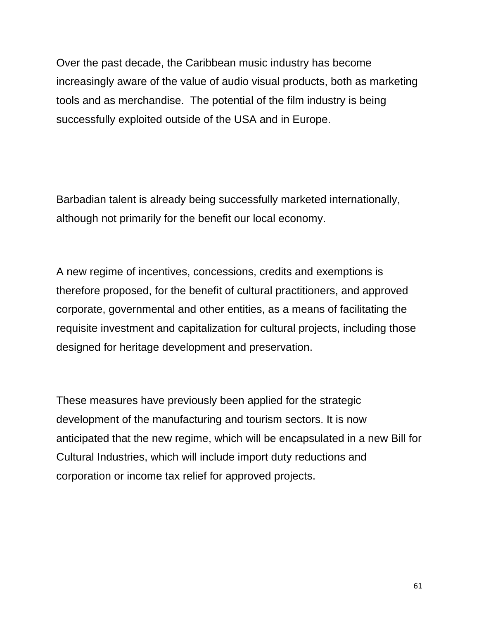Over the past decade, the Caribbean music industry has become increasingly aware of the value of audio visual products, both as marketing tools and as merchandise. The potential of the film industry is being successfully exploited outside of the USA and in Europe.

Barbadian talent is already being successfully marketed internationally, although not primarily for the benefit our local economy.

A new regime of incentives, concessions, credits and exemptions is therefore proposed, for the benefit of cultural practitioners, and approved corporate, governmental and other entities, as a means of facilitating the requisite investment and capitalization for cultural projects, including those designed for heritage development and preservation.

These measures have previously been applied for the strategic development of the manufacturing and tourism sectors. It is now anticipated that the new regime, which will be encapsulated in a new Bill for Cultural Industries, which will include import duty reductions and corporation or income tax relief for approved projects.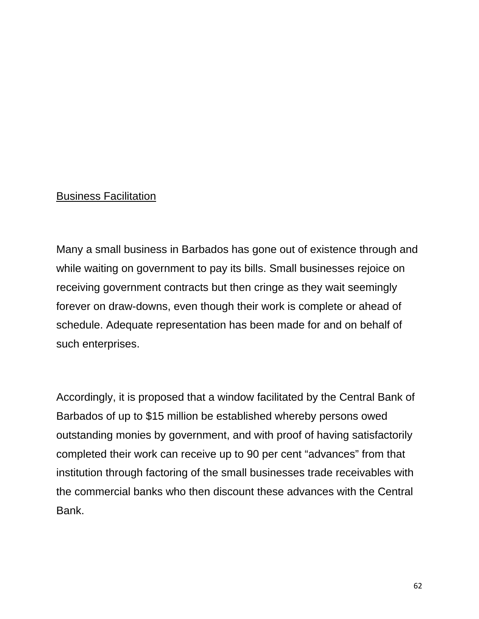#### Business Facilitation

Many a small business in Barbados has gone out of existence through and while waiting on government to pay its bills. Small businesses rejoice on receiving government contracts but then cringe as they wait seemingly forever on draw-downs, even though their work is complete or ahead of schedule. Adequate representation has been made for and on behalf of such enterprises.

Accordingly, it is proposed that a window facilitated by the Central Bank of Barbados of up to \$15 million be established whereby persons owed outstanding monies by government, and with proof of having satisfactorily completed their work can receive up to 90 per cent "advances" from that institution through factoring of the small businesses trade receivables with the commercial banks who then discount these advances with the Central Bank.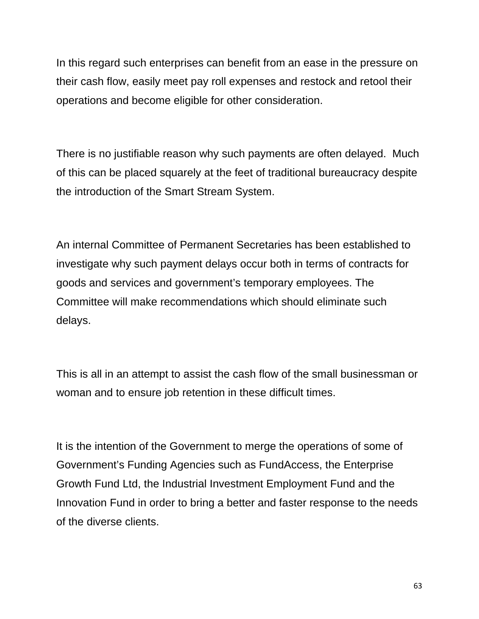In this regard such enterprises can benefit from an ease in the pressure on their cash flow, easily meet pay roll expenses and restock and retool their operations and become eligible for other consideration.

There is no justifiable reason why such payments are often delayed. Much of this can be placed squarely at the feet of traditional bureaucracy despite the introduction of the Smart Stream System.

An internal Committee of Permanent Secretaries has been established to investigate why such payment delays occur both in terms of contracts for goods and services and government's temporary employees. The Committee will make recommendations which should eliminate such delays.

This is all in an attempt to assist the cash flow of the small businessman or woman and to ensure job retention in these difficult times.

It is the intention of the Government to merge the operations of some of Government's Funding Agencies such as FundAccess, the Enterprise Growth Fund Ltd, the Industrial Investment Employment Fund and the Innovation Fund in order to bring a better and faster response to the needs of the diverse clients.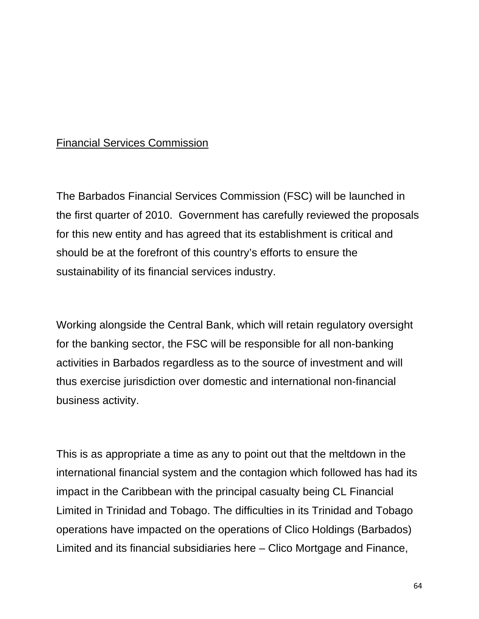### Financial Services Commission

The Barbados Financial Services Commission (FSC) will be launched in the first quarter of 2010. Government has carefully reviewed the proposals for this new entity and has agreed that its establishment is critical and should be at the forefront of this country's efforts to ensure the sustainability of its financial services industry.

Working alongside the Central Bank, which will retain regulatory oversight for the banking sector, the FSC will be responsible for all non-banking activities in Barbados regardless as to the source of investment and will thus exercise jurisdiction over domestic and international non-financial business activity.

This is as appropriate a time as any to point out that the meltdown in the international financial system and the contagion which followed has had its impact in the Caribbean with the principal casualty being CL Financial Limited in Trinidad and Tobago. The difficulties in its Trinidad and Tobago operations have impacted on the operations of Clico Holdings (Barbados) Limited and its financial subsidiaries here – Clico Mortgage and Finance,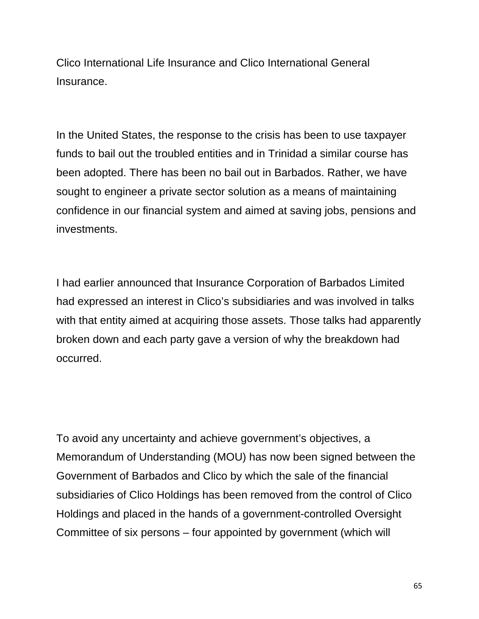Clico International Life Insurance and Clico International General Insurance.

In the United States, the response to the crisis has been to use taxpayer funds to bail out the troubled entities and in Trinidad a similar course has been adopted. There has been no bail out in Barbados. Rather, we have sought to engineer a private sector solution as a means of maintaining confidence in our financial system and aimed at saving jobs, pensions and investments.

I had earlier announced that Insurance Corporation of Barbados Limited had expressed an interest in Clico's subsidiaries and was involved in talks with that entity aimed at acquiring those assets. Those talks had apparently broken down and each party gave a version of why the breakdown had occurred.

To avoid any uncertainty and achieve government's objectives, a Memorandum of Understanding (MOU) has now been signed between the Government of Barbados and Clico by which the sale of the financial subsidiaries of Clico Holdings has been removed from the control of Clico Holdings and placed in the hands of a government-controlled Oversight Committee of six persons – four appointed by government (which will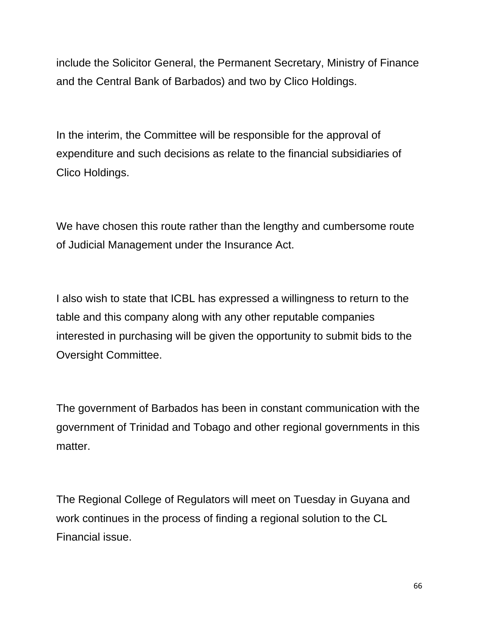include the Solicitor General, the Permanent Secretary, Ministry of Finance and the Central Bank of Barbados) and two by Clico Holdings.

In the interim, the Committee will be responsible for the approval of expenditure and such decisions as relate to the financial subsidiaries of Clico Holdings.

We have chosen this route rather than the lengthy and cumbersome route of Judicial Management under the Insurance Act.

I also wish to state that ICBL has expressed a willingness to return to the table and this company along with any other reputable companies interested in purchasing will be given the opportunity to submit bids to the Oversight Committee.

The government of Barbados has been in constant communication with the government of Trinidad and Tobago and other regional governments in this matter.

The Regional College of Regulators will meet on Tuesday in Guyana and work continues in the process of finding a regional solution to the CL Financial issue.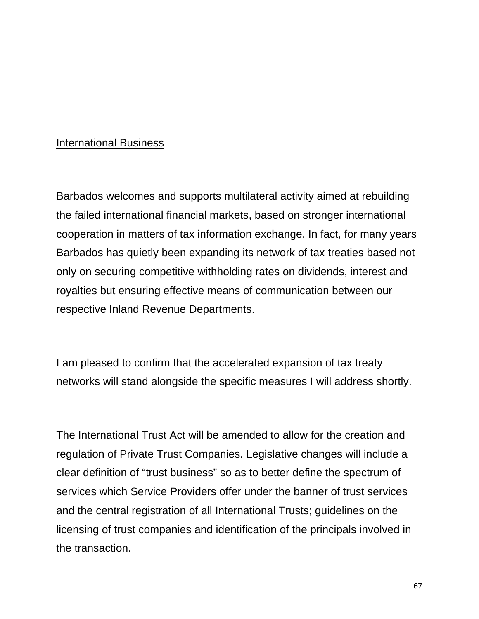#### International Business

Barbados welcomes and supports multilateral activity aimed at rebuilding the failed international financial markets, based on stronger international cooperation in matters of tax information exchange. In fact, for many years Barbados has quietly been expanding its network of tax treaties based not only on securing competitive withholding rates on dividends, interest and royalties but ensuring effective means of communication between our respective Inland Revenue Departments.

I am pleased to confirm that the accelerated expansion of tax treaty networks will stand alongside the specific measures I will address shortly.

The International Trust Act will be amended to allow for the creation and regulation of Private Trust Companies. Legislative changes will include a clear definition of "trust business" so as to better define the spectrum of services which Service Providers offer under the banner of trust services and the central registration of all International Trusts; guidelines on the licensing of trust companies and identification of the principals involved in the transaction.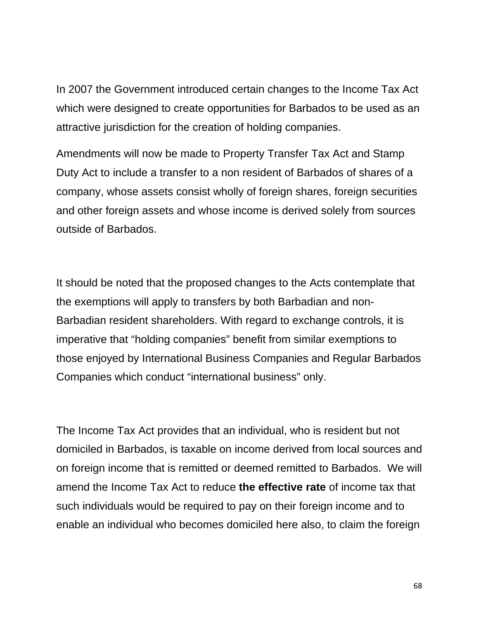In 2007 the Government introduced certain changes to the Income Tax Act which were designed to create opportunities for Barbados to be used as an attractive jurisdiction for the creation of holding companies.

Amendments will now be made to Property Transfer Tax Act and Stamp Duty Act to include a transfer to a non resident of Barbados of shares of a company, whose assets consist wholly of foreign shares, foreign securities and other foreign assets and whose income is derived solely from sources outside of Barbados.

It should be noted that the proposed changes to the Acts contemplate that the exemptions will apply to transfers by both Barbadian and non-Barbadian resident shareholders. With regard to exchange controls, it is imperative that "holding companies" benefit from similar exemptions to those enjoyed by International Business Companies and Regular Barbados Companies which conduct "international business" only.

The Income Tax Act provides that an individual, who is resident but not domiciled in Barbados, is taxable on income derived from local sources and on foreign income that is remitted or deemed remitted to Barbados. We will amend the Income Tax Act to reduce **the effective rate** of income tax that such individuals would be required to pay on their foreign income and to enable an individual who becomes domiciled here also, to claim the foreign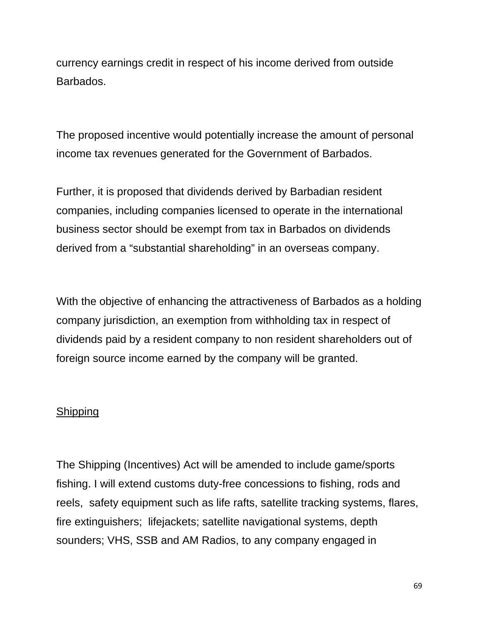currency earnings credit in respect of his income derived from outside Barbados.

The proposed incentive would potentially increase the amount of personal income tax revenues generated for the Government of Barbados.

Further, it is proposed that dividends derived by Barbadian resident companies, including companies licensed to operate in the international business sector should be exempt from tax in Barbados on dividends derived from a "substantial shareholding" in an overseas company.

With the objective of enhancing the attractiveness of Barbados as a holding company jurisdiction, an exemption from withholding tax in respect of dividends paid by a resident company to non resident shareholders out of foreign source income earned by the company will be granted.

#### **Shipping**

The Shipping (Incentives) Act will be amended to include game/sports fishing. I will extend customs duty-free concessions to fishing, rods and reels, safety equipment such as life rafts, satellite tracking systems, flares, fire extinguishers; lifejackets; satellite navigational systems, depth sounders; VHS, SSB and AM Radios, to any company engaged in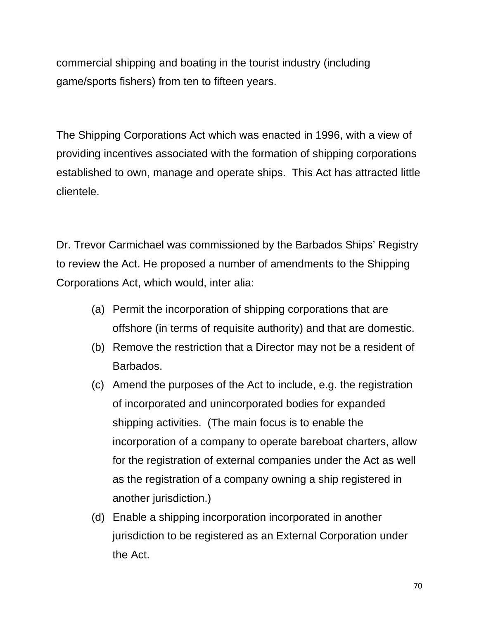commercial shipping and boating in the tourist industry (including game/sports fishers) from ten to fifteen years.

The Shipping Corporations Act which was enacted in 1996, with a view of providing incentives associated with the formation of shipping corporations established to own, manage and operate ships. This Act has attracted little clientele.

Dr. Trevor Carmichael was commissioned by the Barbados Ships' Registry to review the Act. He proposed a number of amendments to the Shipping Corporations Act, which would, inter alia:

- (a) Permit the incorporation of shipping corporations that are offshore (in terms of requisite authority) and that are domestic.
- (b) Remove the restriction that a Director may not be a resident of Barbados.
- (c) Amend the purposes of the Act to include, e.g. the registration of incorporated and unincorporated bodies for expanded shipping activities. (The main focus is to enable the incorporation of a company to operate bareboat charters, allow for the registration of external companies under the Act as well as the registration of a company owning a ship registered in another jurisdiction.)
- (d) Enable a shipping incorporation incorporated in another jurisdiction to be registered as an External Corporation under the Act.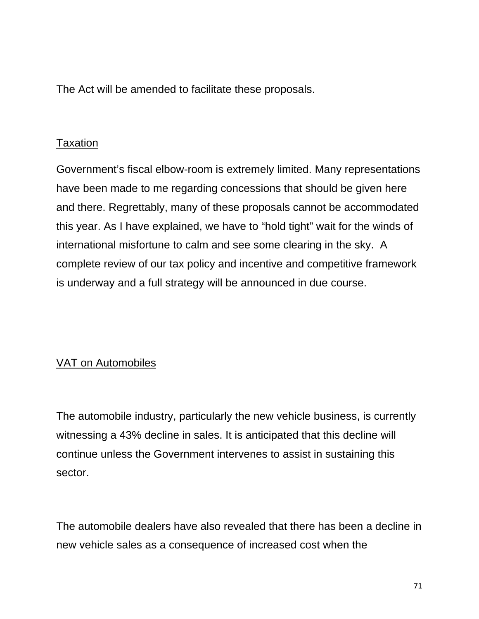The Act will be amended to facilitate these proposals.

### **Taxation**

Government's fiscal elbow-room is extremely limited. Many representations have been made to me regarding concessions that should be given here and there. Regrettably, many of these proposals cannot be accommodated this year. As I have explained, we have to "hold tight" wait for the winds of international misfortune to calm and see some clearing in the sky. A complete review of our tax policy and incentive and competitive framework is underway and a full strategy will be announced in due course.

## VAT on Automobiles

The automobile industry, particularly the new vehicle business, is currently witnessing a 43% decline in sales. It is anticipated that this decline will continue unless the Government intervenes to assist in sustaining this sector.

The automobile dealers have also revealed that there has been a decline in new vehicle sales as a consequence of increased cost when the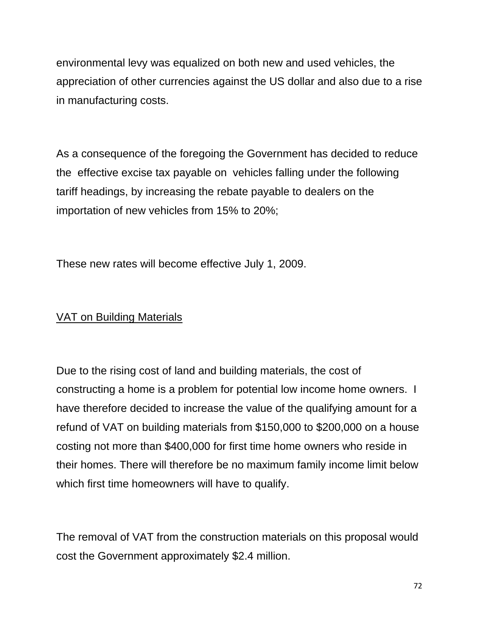environmental levy was equalized on both new and used vehicles, the appreciation of other currencies against the US dollar and also due to a rise in manufacturing costs.

As a consequence of the foregoing the Government has decided to reduce the effective excise tax payable on vehicles falling under the following tariff headings, by increasing the rebate payable to dealers on the importation of new vehicles from 15% to 20%;

These new rates will become effective July 1, 2009.

## VAT on Building Materials

Due to the rising cost of land and building materials, the cost of constructing a home is a problem for potential low income home owners. I have therefore decided to increase the value of the qualifying amount for a refund of VAT on building materials from \$150,000 to \$200,000 on a house costing not more than \$400,000 for first time home owners who reside in their homes. There will therefore be no maximum family income limit below which first time homeowners will have to qualify.

The removal of VAT from the construction materials on this proposal would cost the Government approximately \$2.4 million.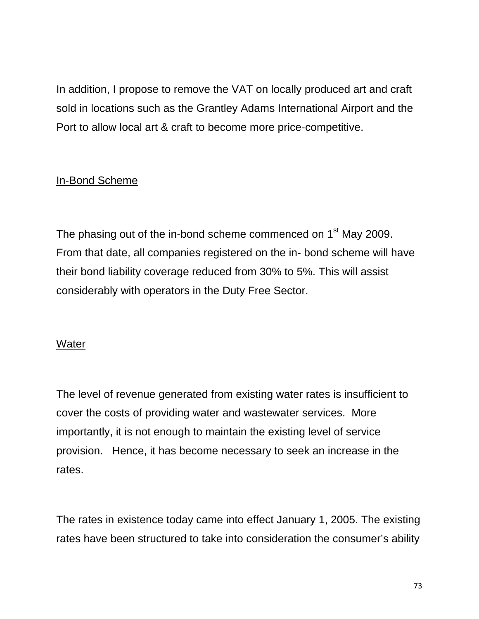In addition, I propose to remove the VAT on locally produced art and craft sold in locations such as the Grantley Adams International Airport and the Port to allow local art & craft to become more price-competitive.

# In-Bond Scheme

The phasing out of the in-bond scheme commenced on 1<sup>st</sup> May 2009. From that date, all companies registered on the in- bond scheme will have their bond liability coverage reduced from 30% to 5%. This will assist considerably with operators in the Duty Free Sector.

### **Water**

The level of revenue generated from existing water rates is insufficient to cover the costs of providing water and wastewater services. More importantly, it is not enough to maintain the existing level of service provision. Hence, it has become necessary to seek an increase in the rates.

The rates in existence today came into effect January 1, 2005. The existing rates have been structured to take into consideration the consumer's ability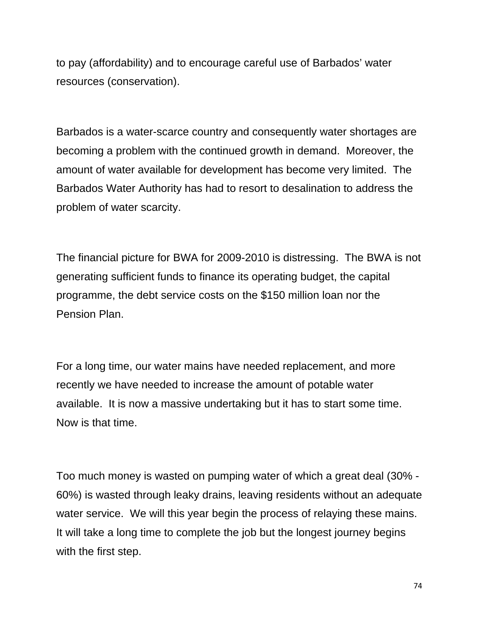to pay (affordability) and to encourage careful use of Barbados' water resources (conservation).

Barbados is a water-scarce country and consequently water shortages are becoming a problem with the continued growth in demand. Moreover, the amount of water available for development has become very limited. The Barbados Water Authority has had to resort to desalination to address the problem of water scarcity.

The financial picture for BWA for 2009-2010 is distressing. The BWA is not generating sufficient funds to finance its operating budget, the capital programme, the debt service costs on the \$150 million loan nor the Pension Plan.

For a long time, our water mains have needed replacement, and more recently we have needed to increase the amount of potable water available. It is now a massive undertaking but it has to start some time. Now is that time.

Too much money is wasted on pumping water of which a great deal (30% - 60%) is wasted through leaky drains, leaving residents without an adequate water service. We will this year begin the process of relaying these mains. It will take a long time to complete the job but the longest journey begins with the first step.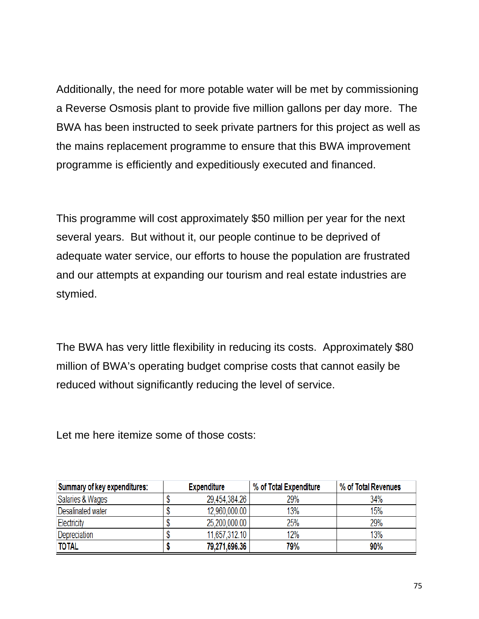Additionally, the need for more potable water will be met by commissioning a Reverse Osmosis plant to provide five million gallons per day more. The BWA has been instructed to seek private partners for this project as well as the mains replacement programme to ensure that this BWA improvement programme is efficiently and expeditiously executed and financed.

This programme will cost approximately \$50 million per year for the next several years. But without it, our people continue to be deprived of adequate water service, our efforts to house the population are frustrated and our attempts at expanding our tourism and real estate industries are stymied.

The BWA has very little flexibility in reducing its costs. Approximately \$80 million of BWA's operating budget comprise costs that cannot easily be reduced without significantly reducing the level of service.

Let me here itemize some of those costs:

| Summary of key expenditures: | <b>Expenditure</b> | % of Total Expenditure | % of Total Revenues |
|------------------------------|--------------------|------------------------|---------------------|
| Salaries & Wages             | 29.454.384.26      | 29%                    | 34%                 |
| Desalinated water            | 12,960,000.00      | 13%                    | 15%                 |
| Electricity                  | 25,200,000.00      | 25%                    | 29%                 |
| Depreciation                 | 11.657.312.10      | 12%                    | 13%                 |
| <b>TOTAL</b>                 | 79,271,696.36      | 79%                    | 90%                 |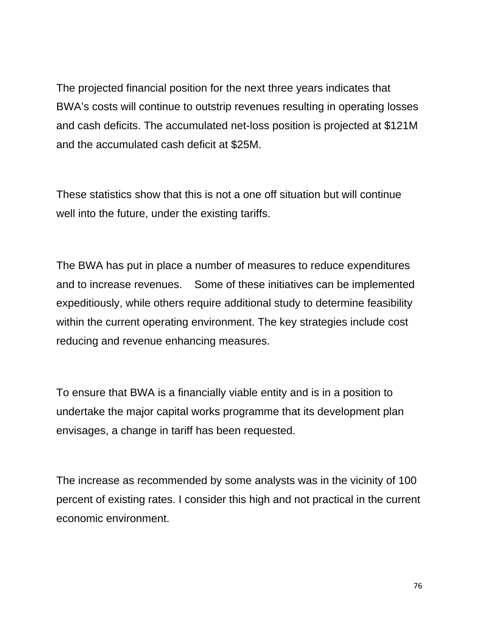The projected financial position for the next three years indicates that BWA's costs will continue to outstrip revenues resulting in operating losses and cash deficits. The accumulated net-loss position is projected at \$121M and the accumulated cash deficit at \$25M.

These statistics show that this is not a one off situation but will continue well into the future, under the existing tariffs.

The BWA has put in place a number of measures to reduce expenditures and to increase revenues. Some of these initiatives can be implemented expeditiously, while others require additional study to determine feasibility within the current operating environment. The key strategies include cost reducing and revenue enhancing measures.

To ensure that BWA is a financially viable entity and is in a position to undertake the major capital works programme that its development plan envisages, a change in tariff has been requested.

The increase as recommended by some analysts was in the vicinity of 100 percent of existing rates. I consider this high and not practical in the current economic environment.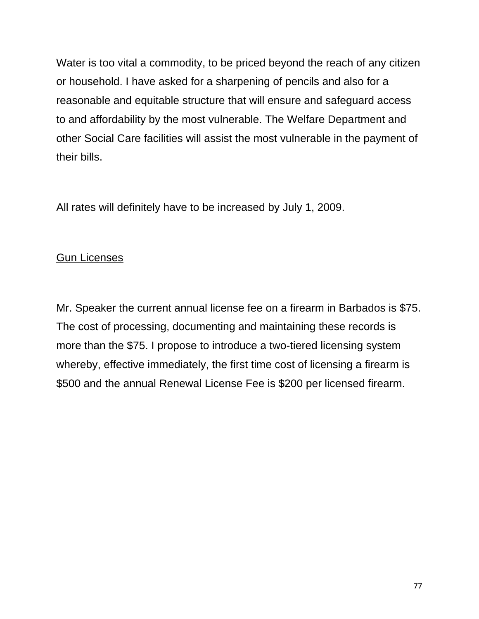Water is too vital a commodity, to be priced beyond the reach of any citizen or household. I have asked for a sharpening of pencils and also for a reasonable and equitable structure that will ensure and safeguard access to and affordability by the most vulnerable. The Welfare Department and other Social Care facilities will assist the most vulnerable in the payment of their bills.

All rates will definitely have to be increased by July 1, 2009.

# Gun Licenses

Mr. Speaker the current annual license fee on a firearm in Barbados is \$75. The cost of processing, documenting and maintaining these records is more than the \$75. I propose to introduce a two-tiered licensing system whereby, effective immediately, the first time cost of licensing a firearm is \$500 and the annual Renewal License Fee is \$200 per licensed firearm.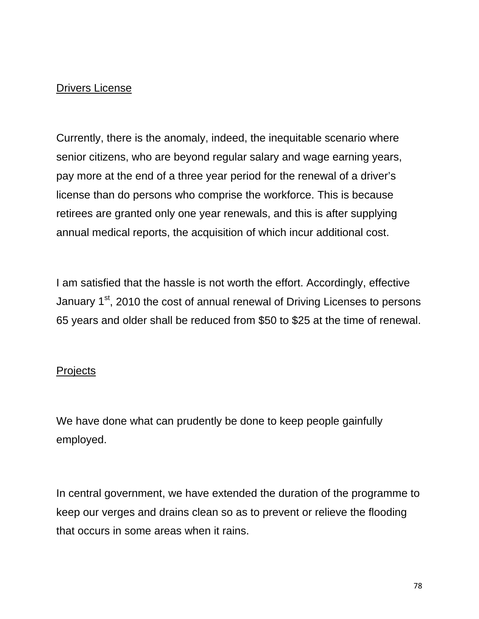## Drivers License

Currently, there is the anomaly, indeed, the inequitable scenario where senior citizens, who are beyond regular salary and wage earning years, pay more at the end of a three year period for the renewal of a driver's license than do persons who comprise the workforce. This is because retirees are granted only one year renewals, and this is after supplying annual medical reports, the acquisition of which incur additional cost.

I am satisfied that the hassle is not worth the effort. Accordingly, effective January 1<sup>st</sup>, 2010 the cost of annual renewal of Driving Licenses to persons 65 years and older shall be reduced from \$50 to \$25 at the time of renewal.

### **Projects**

We have done what can prudently be done to keep people gainfully employed.

In central government, we have extended the duration of the programme to keep our verges and drains clean so as to prevent or relieve the flooding that occurs in some areas when it rains.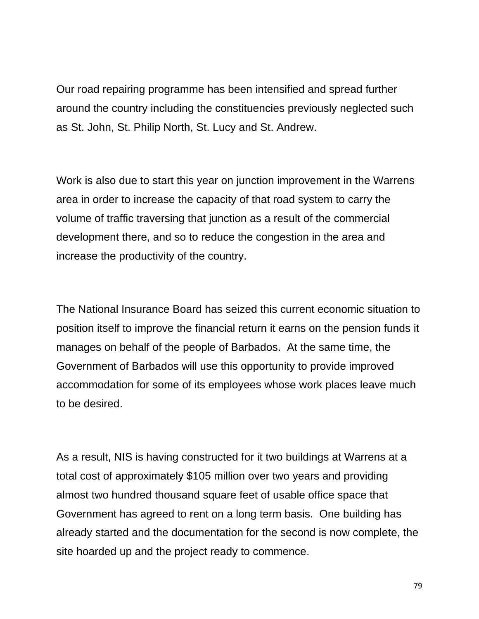Our road repairing programme has been intensified and spread further around the country including the constituencies previously neglected such as St. John, St. Philip North, St. Lucy and St. Andrew.

Work is also due to start this year on junction improvement in the Warrens area in order to increase the capacity of that road system to carry the volume of traffic traversing that junction as a result of the commercial development there, and so to reduce the congestion in the area and increase the productivity of the country.

The National Insurance Board has seized this current economic situation to position itself to improve the financial return it earns on the pension funds it manages on behalf of the people of Barbados. At the same time, the Government of Barbados will use this opportunity to provide improved accommodation for some of its employees whose work places leave much to be desired.

As a result, NIS is having constructed for it two buildings at Warrens at a total cost of approximately \$105 million over two years and providing almost two hundred thousand square feet of usable office space that Government has agreed to rent on a long term basis. One building has already started and the documentation for the second is now complete, the site hoarded up and the project ready to commence.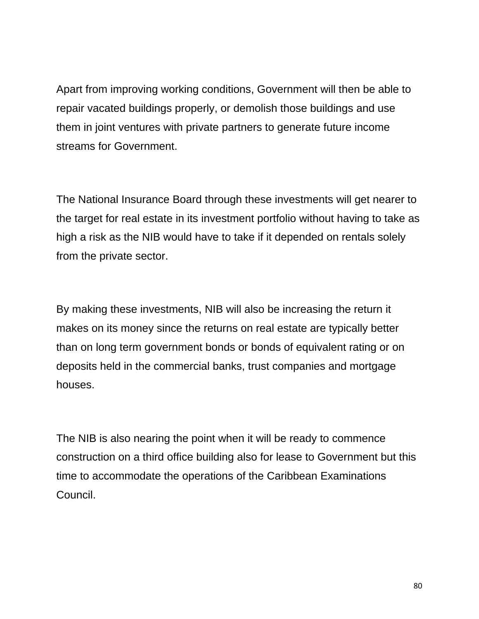Apart from improving working conditions, Government will then be able to repair vacated buildings properly, or demolish those buildings and use them in joint ventures with private partners to generate future income streams for Government.

The National Insurance Board through these investments will get nearer to the target for real estate in its investment portfolio without having to take as high a risk as the NIB would have to take if it depended on rentals solely from the private sector.

By making these investments, NIB will also be increasing the return it makes on its money since the returns on real estate are typically better than on long term government bonds or bonds of equivalent rating or on deposits held in the commercial banks, trust companies and mortgage houses.

The NIB is also nearing the point when it will be ready to commence construction on a third office building also for lease to Government but this time to accommodate the operations of the Caribbean Examinations Council.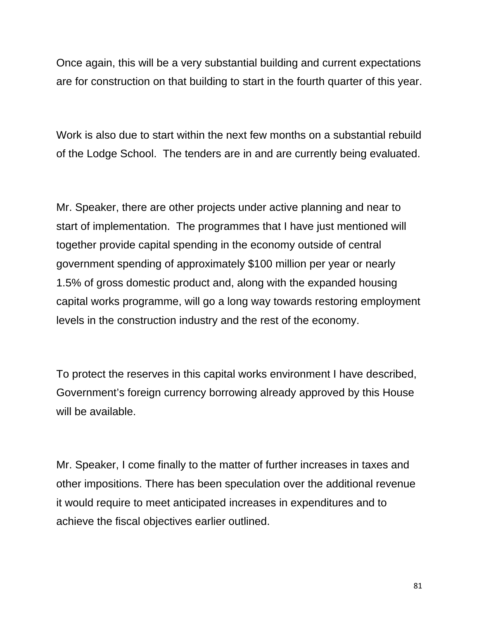Once again, this will be a very substantial building and current expectations are for construction on that building to start in the fourth quarter of this year.

Work is also due to start within the next few months on a substantial rebuild of the Lodge School. The tenders are in and are currently being evaluated.

Mr. Speaker, there are other projects under active planning and near to start of implementation. The programmes that I have just mentioned will together provide capital spending in the economy outside of central government spending of approximately \$100 million per year or nearly 1.5% of gross domestic product and, along with the expanded housing capital works programme, will go a long way towards restoring employment levels in the construction industry and the rest of the economy.

To protect the reserves in this capital works environment I have described, Government's foreign currency borrowing already approved by this House will be available.

Mr. Speaker, I come finally to the matter of further increases in taxes and other impositions. There has been speculation over the additional revenue it would require to meet anticipated increases in expenditures and to achieve the fiscal objectives earlier outlined.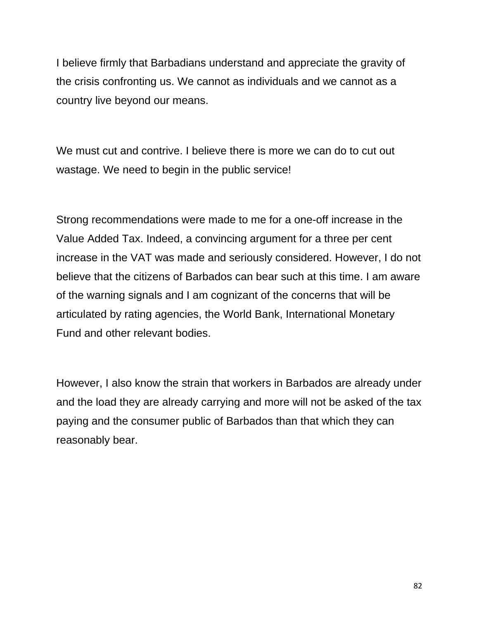I believe firmly that Barbadians understand and appreciate the gravity of the crisis confronting us. We cannot as individuals and we cannot as a country live beyond our means.

We must cut and contrive. I believe there is more we can do to cut out wastage. We need to begin in the public service!

Strong recommendations were made to me for a one-off increase in the Value Added Tax. Indeed, a convincing argument for a three per cent increase in the VAT was made and seriously considered. However, I do not believe that the citizens of Barbados can bear such at this time. I am aware of the warning signals and I am cognizant of the concerns that will be articulated by rating agencies, the World Bank, International Monetary Fund and other relevant bodies.

However, I also know the strain that workers in Barbados are already under and the load they are already carrying and more will not be asked of the tax paying and the consumer public of Barbados than that which they can reasonably bear.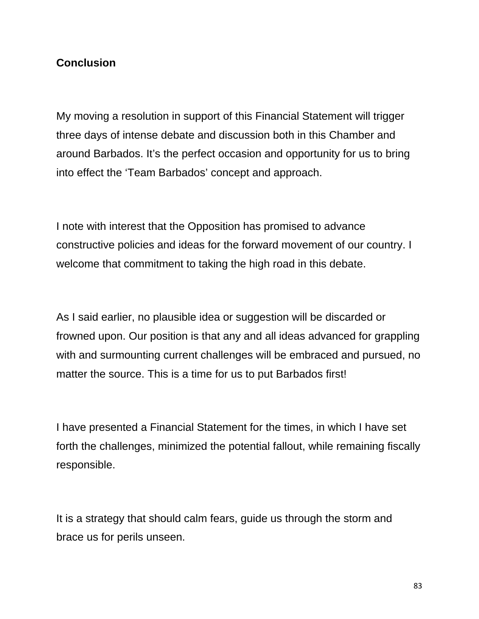### **Conclusion**

My moving a resolution in support of this Financial Statement will trigger three days of intense debate and discussion both in this Chamber and around Barbados. It's the perfect occasion and opportunity for us to bring into effect the 'Team Barbados' concept and approach.

I note with interest that the Opposition has promised to advance constructive policies and ideas for the forward movement of our country. I welcome that commitment to taking the high road in this debate.

As I said earlier, no plausible idea or suggestion will be discarded or frowned upon. Our position is that any and all ideas advanced for grappling with and surmounting current challenges will be embraced and pursued, no matter the source. This is a time for us to put Barbados first!

I have presented a Financial Statement for the times, in which I have set forth the challenges, minimized the potential fallout, while remaining fiscally responsible.

It is a strategy that should calm fears, guide us through the storm and brace us for perils unseen.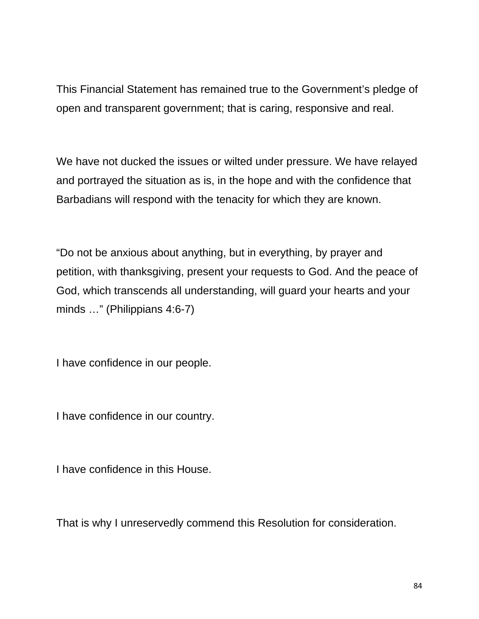This Financial Statement has remained true to the Government's pledge of open and transparent government; that is caring, responsive and real.

We have not ducked the issues or wilted under pressure. We have relayed and portrayed the situation as is, in the hope and with the confidence that Barbadians will respond with the tenacity for which they are known.

"Do not be anxious about anything, but in everything, by prayer and petition, with thanksgiving, present your requests to God. And the peace of God, which transcends all understanding, will guard your hearts and your minds …" (Philippians 4:6-7)

I have confidence in our people.

I have confidence in our country.

I have confidence in this House.

That is why I unreservedly commend this Resolution for consideration.